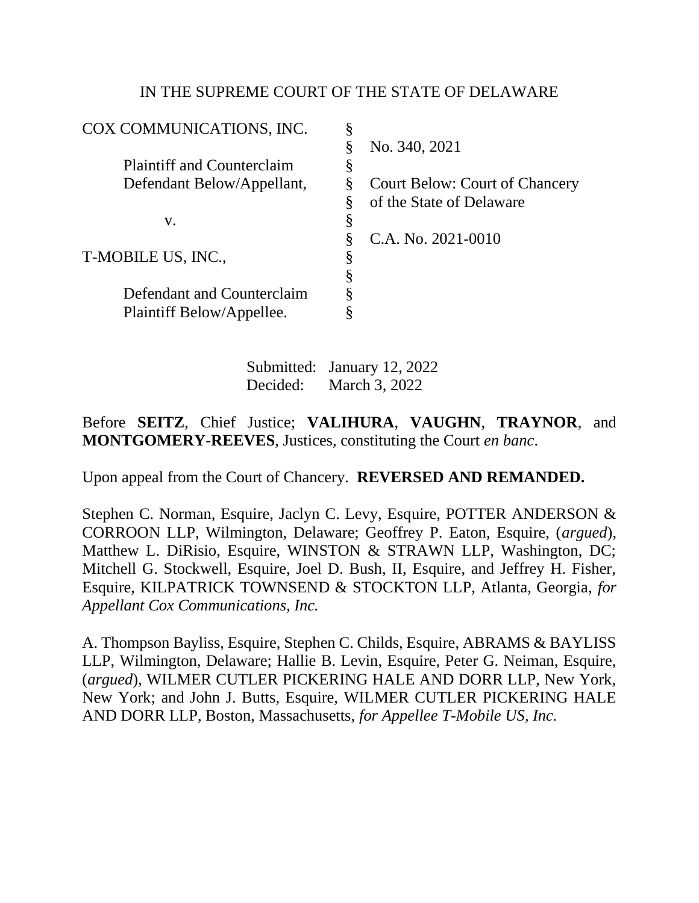# IN THE SUPREME COURT OF THE STATE OF DELAWARE

| COX COMMUNICATIONS, INC.          | §  |                                       |
|-----------------------------------|----|---------------------------------------|
|                                   | Š  | No. 340, 2021                         |
| <b>Plaintiff and Counterclaim</b> | Š  |                                       |
| Defendant Below/Appellant,        |    | <b>Court Below: Court of Chancery</b> |
|                                   |    | of the State of Delaware              |
| V.                                | Ò  |                                       |
|                                   | S  | C.A. No. 2021-0010                    |
| T-MOBILE US, INC.,                | \$ |                                       |
|                                   |    |                                       |
| Defendant and Counterclaim        |    |                                       |
| Plaintiff Below/Appellee.         | Ò  |                                       |
|                                   |    |                                       |

Submitted: January 12, 2022 Decided: March 3, 2022

Before **SEITZ**, Chief Justice; **VALIHURA**, **VAUGHN**, **TRAYNOR**, and **MONTGOMERY**-**REEVES**, Justices, constituting the Court *en banc*.

Upon appeal from the Court of Chancery. **REVERSED AND REMANDED.**

Stephen C. Norman, Esquire, Jaclyn C. Levy, Esquire, POTTER ANDERSON & CORROON LLP, Wilmington, Delaware; Geoffrey P. Eaton, Esquire, (*argued*), Matthew L. DiRisio, Esquire, WINSTON & STRAWN LLP, Washington, DC; Mitchell G. Stockwell, Esquire, Joel D. Bush, II, Esquire, and Jeffrey H. Fisher, Esquire, KILPATRICK TOWNSEND & STOCKTON LLP, Atlanta, Georgia, *for Appellant Cox Communications, Inc.*

A. Thompson Bayliss, Esquire, Stephen C. Childs, Esquire, ABRAMS & BAYLISS LLP, Wilmington, Delaware; Hallie B. Levin, Esquire, Peter G. Neiman, Esquire, (*argued*), WILMER CUTLER PICKERING HALE AND DORR LLP, New York, New York; and John J. Butts, Esquire, WILMER CUTLER PICKERING HALE AND DORR LLP, Boston, Massachusetts, *for Appellee T-Mobile US, Inc.*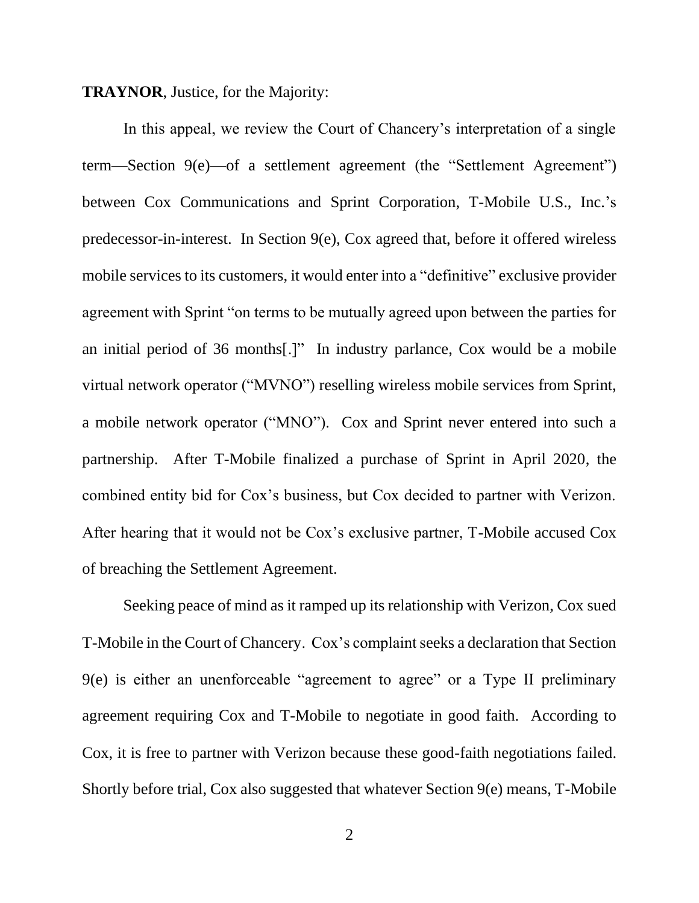#### **TRAYNOR**, Justice, for the Majority:

In this appeal, we review the Court of Chancery's interpretation of a single term—Section 9(e)—of a settlement agreement (the "Settlement Agreement") between Cox Communications and Sprint Corporation, T-Mobile U.S., Inc.'s predecessor-in-interest. In Section 9(e), Cox agreed that, before it offered wireless mobile services to its customers, it would enter into a "definitive" exclusive provider agreement with Sprint "on terms to be mutually agreed upon between the parties for an initial period of 36 months[.]" In industry parlance, Cox would be a mobile virtual network operator ("MVNO") reselling wireless mobile services from Sprint, a mobile network operator ("MNO"). Cox and Sprint never entered into such a partnership. After T-Mobile finalized a purchase of Sprint in April 2020, the combined entity bid for Cox's business, but Cox decided to partner with Verizon. After hearing that it would not be Cox's exclusive partner, T-Mobile accused Cox of breaching the Settlement Agreement.

Seeking peace of mind as it ramped up its relationship with Verizon, Cox sued T-Mobile in the Court of Chancery. Cox's complaint seeks a declaration that Section 9(e) is either an unenforceable "agreement to agree" or a Type II preliminary agreement requiring Cox and T-Mobile to negotiate in good faith. According to Cox, it is free to partner with Verizon because these good-faith negotiations failed. Shortly before trial, Cox also suggested that whatever Section 9(e) means, T-Mobile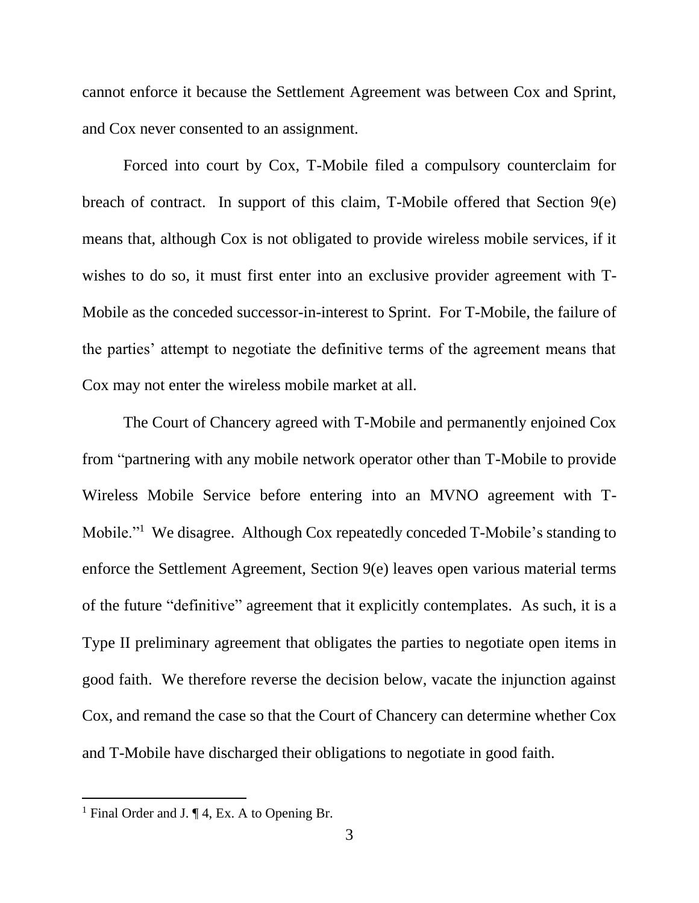cannot enforce it because the Settlement Agreement was between Cox and Sprint, and Cox never consented to an assignment.

Forced into court by Cox, T-Mobile filed a compulsory counterclaim for breach of contract. In support of this claim, T-Mobile offered that Section 9(e) means that, although Cox is not obligated to provide wireless mobile services, if it wishes to do so, it must first enter into an exclusive provider agreement with T-Mobile as the conceded successor-in-interest to Sprint. For T-Mobile, the failure of the parties' attempt to negotiate the definitive terms of the agreement means that Cox may not enter the wireless mobile market at all.

The Court of Chancery agreed with T-Mobile and permanently enjoined Cox from "partnering with any mobile network operator other than T-Mobile to provide Wireless Mobile Service before entering into an MVNO agreement with T-Mobile."<sup>1</sup> We disagree. Although Cox repeatedly conceded T-Mobile's standing to enforce the Settlement Agreement, Section 9(e) leaves open various material terms of the future "definitive" agreement that it explicitly contemplates. As such, it is a Type II preliminary agreement that obligates the parties to negotiate open items in good faith. We therefore reverse the decision below, vacate the injunction against Cox, and remand the case so that the Court of Chancery can determine whether Cox and T-Mobile have discharged their obligations to negotiate in good faith.

<sup>&</sup>lt;sup>1</sup> Final Order and J.  $\P$  4, Ex. A to Opening Br.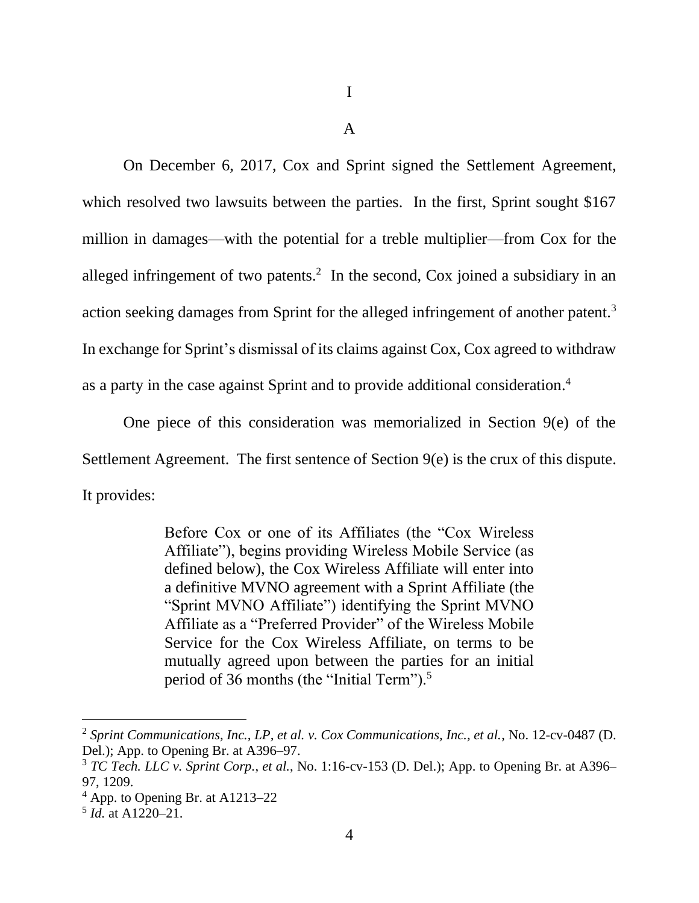A

On December 6, 2017, Cox and Sprint signed the Settlement Agreement, which resolved two lawsuits between the parties. In the first, Sprint sought \$167 million in damages—with the potential for a treble multiplier—from Cox for the alleged infringement of two patents.<sup>2</sup> In the second, Cox joined a subsidiary in an action seeking damages from Sprint for the alleged infringement of another patent.<sup>3</sup> In exchange for Sprint's dismissal of its claims against Cox, Cox agreed to withdraw as a party in the case against Sprint and to provide additional consideration.<sup>4</sup>

One piece of this consideration was memorialized in Section 9(e) of the Settlement Agreement. The first sentence of Section 9(e) is the crux of this dispute. It provides:

> Before Cox or one of its Affiliates (the "Cox Wireless Affiliate"), begins providing Wireless Mobile Service (as defined below), the Cox Wireless Affiliate will enter into a definitive MVNO agreement with a Sprint Affiliate (the "Sprint MVNO Affiliate") identifying the Sprint MVNO Affiliate as a "Preferred Provider" of the Wireless Mobile Service for the Cox Wireless Affiliate, on terms to be mutually agreed upon between the parties for an initial period of 36 months (the "Initial Term").<sup>5</sup>

<sup>2</sup> *Sprint Communications, Inc., LP, et al. v. Cox Communications, Inc., et al.*, No. 12-cv-0487 (D. Del.); App. to Opening Br. at A396–97.

<sup>3</sup> *TC Tech. LLC v. Sprint Corp.*, *et al.*, No. 1:16-cv-153 (D. Del.); App. to Opening Br. at A396– 97, 1209.

<sup>4</sup> App. to Opening Br. at A1213–22

<sup>5</sup> *Id.* at A1220–21.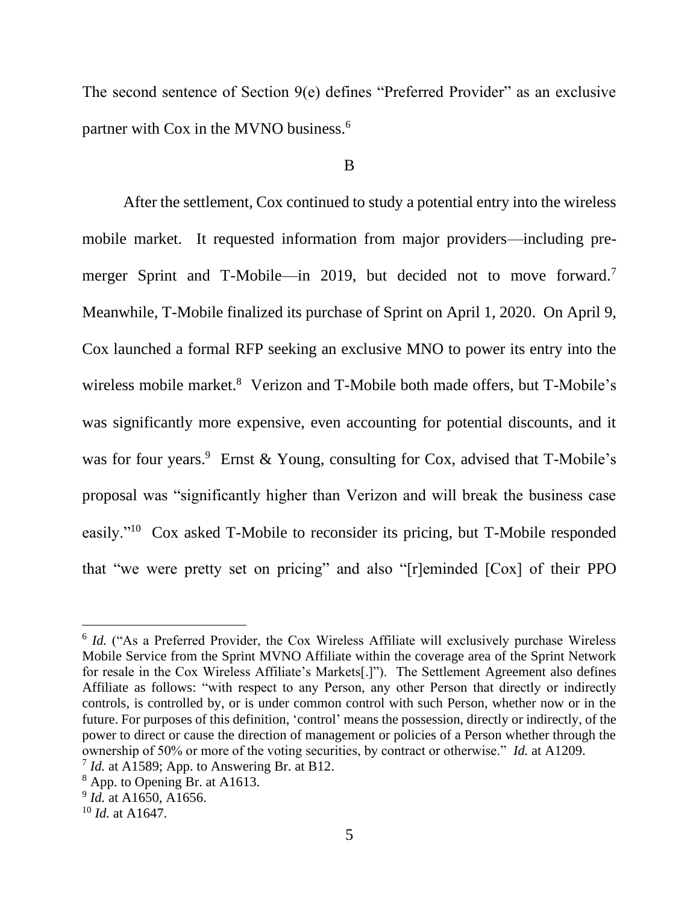The second sentence of Section 9(e) defines "Preferred Provider" as an exclusive partner with Cox in the MVNO business.<sup>6</sup>

#### B

After the settlement, Cox continued to study a potential entry into the wireless mobile market. It requested information from major providers—including premerger Sprint and T-Mobile—in 2019, but decided not to move forward.<sup>7</sup> Meanwhile, T-Mobile finalized its purchase of Sprint on April 1, 2020. On April 9, Cox launched a formal RFP seeking an exclusive MNO to power its entry into the wireless mobile market.<sup>8</sup> Verizon and T-Mobile both made offers, but T-Mobile's was significantly more expensive, even accounting for potential discounts, and it was for four years.<sup>9</sup> Ernst & Young, consulting for Cox, advised that T-Mobile's proposal was "significantly higher than Verizon and will break the business case easily."<sup>10</sup> Cox asked T-Mobile to reconsider its pricing, but T-Mobile responded that "we were pretty set on pricing" and also "[r]eminded [Cox] of their PPO

<sup>&</sup>lt;sup>6</sup> *Id.* ("As a Preferred Provider, the Cox Wireless Affiliate will exclusively purchase Wireless Mobile Service from the Sprint MVNO Affiliate within the coverage area of the Sprint Network for resale in the Cox Wireless Affiliate's Markets[.]"). The Settlement Agreement also defines Affiliate as follows: "with respect to any Person, any other Person that directly or indirectly controls, is controlled by, or is under common control with such Person, whether now or in the future. For purposes of this definition, 'control' means the possession, directly or indirectly, of the power to direct or cause the direction of management or policies of a Person whether through the ownership of 50% or more of the voting securities, by contract or otherwise." *Id.* at A1209. <sup>7</sup> *Id.* at A1589; App. to Answering Br. at B12.

<sup>8</sup> App. to Opening Br. at A1613.

<sup>9</sup> *Id.* at A1650, A1656.

<sup>10</sup> *Id.* at A1647.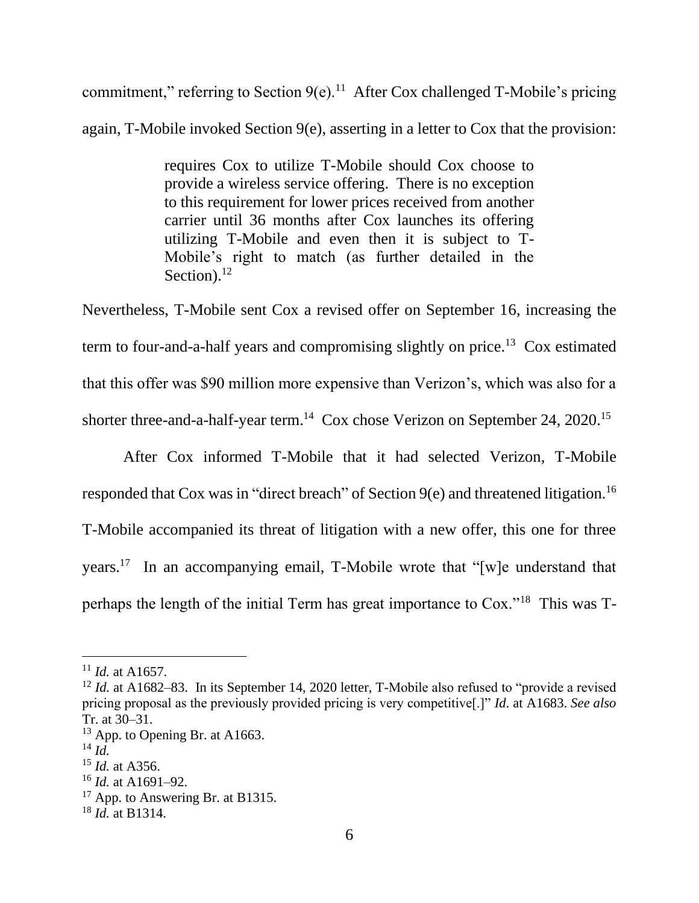commitment," referring to Section  $9(e)$ .<sup>11</sup> After Cox challenged T-Mobile's pricing again, T-Mobile invoked Section 9(e), asserting in a letter to Cox that the provision:

> requires Cox to utilize T-Mobile should Cox choose to provide a wireless service offering. There is no exception to this requirement for lower prices received from another carrier until 36 months after Cox launches its offering utilizing T-Mobile and even then it is subject to T-Mobile's right to match (as further detailed in the Section). $^{12}$

Nevertheless, T-Mobile sent Cox a revised offer on September 16, increasing the term to four-and-a-half years and compromising slightly on price.<sup>13</sup> Cox estimated that this offer was \$90 million more expensive than Verizon's, which was also for a shorter three-and-a-half-year term.<sup>14</sup> Cox chose Verizon on September 24, 2020.<sup>15</sup>

After Cox informed T-Mobile that it had selected Verizon, T-Mobile responded that Cox was in "direct breach" of Section 9(e) and threatened litigation.<sup>16</sup> T-Mobile accompanied its threat of litigation with a new offer, this one for three years.<sup>17</sup> In an accompanying email, T-Mobile wrote that "[w]e understand that perhaps the length of the initial Term has great importance to Cox."<sup>18</sup> This was T-

<sup>11</sup> *Id.* at A1657.

<sup>&</sup>lt;sup>12</sup> *Id.* at A1682–83. In its September 14, 2020 letter, T-Mobile also refused to "provide a revised pricing proposal as the previously provided pricing is very competitive[.]" *Id*. at A1683. *See also*  Tr. at 30–31.

 $13$  App. to Opening Br. at A1663.

<sup>14</sup> *Id.*

<sup>15</sup> *Id.* at A356.

<sup>16</sup> *Id.* at A1691–92.

 $17$  App. to Answering Br. at B1315.

<sup>18</sup> *Id.* at B1314.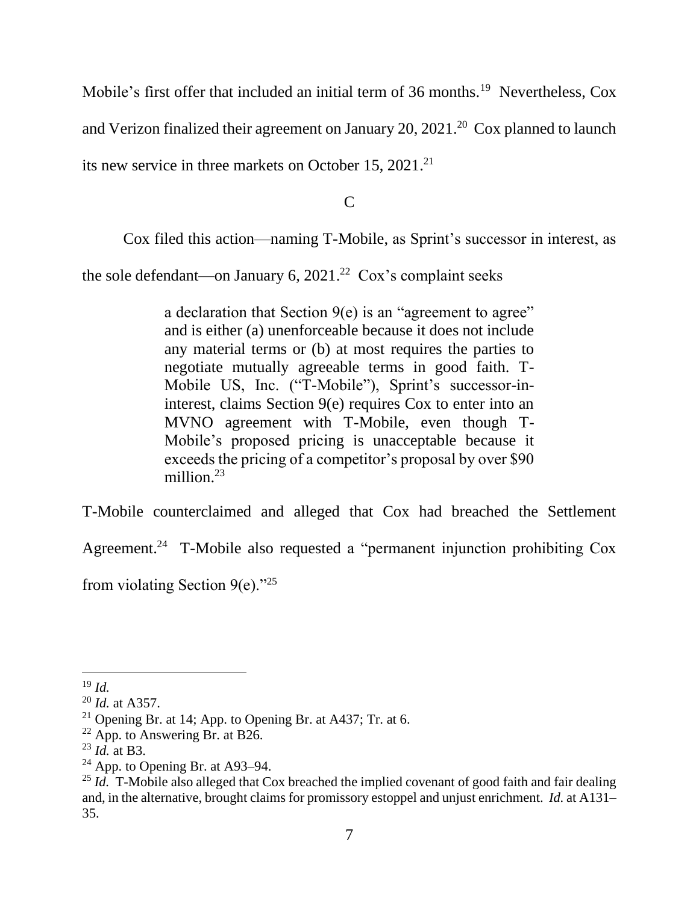Mobile's first offer that included an initial term of 36 months.<sup>19</sup> Nevertheless, Cox and Verizon finalized their agreement on January 20, 2021.<sup>20</sup> Cox planned to launch its new service in three markets on October 15, 2021.<sup>21</sup>

 $\overline{C}$ 

Cox filed this action—naming T-Mobile, as Sprint's successor in interest, as

the sole defendant—on January 6,  $2021<sup>22</sup>$  Cox's complaint seeks

a declaration that Section  $9(e)$  is an "agreement to agree" and is either (a) unenforceable because it does not include any material terms or (b) at most requires the parties to negotiate mutually agreeable terms in good faith. T-Mobile US, Inc. ("T-Mobile"), Sprint's successor-ininterest, claims Section 9(e) requires Cox to enter into an MVNO agreement with T-Mobile, even though T-Mobile's proposed pricing is unacceptable because it exceeds the pricing of a competitor's proposal by over \$90 million. $23$ 

T-Mobile counterclaimed and alleged that Cox had breached the Settlement

Agreement.<sup>24</sup> T-Mobile also requested a "permanent injunction prohibiting Cox

from violating Section  $9(e)$ ."<sup>25</sup>

<sup>19</sup> *Id.*

<sup>20</sup> *Id.* at A357.

<sup>&</sup>lt;sup>21</sup> Opening Br. at 14; App. to Opening Br. at A437; Tr. at 6.

 $22$  App. to Answering Br. at B26.

<sup>23</sup> *Id.* at B3.

 $24$  App. to Opening Br. at A93–94.

<sup>&</sup>lt;sup>25</sup> *Id.* T-Mobile also alleged that Cox breached the implied covenant of good faith and fair dealing and, in the alternative, brought claims for promissory estoppel and unjust enrichment. *Id.* at A131– 35.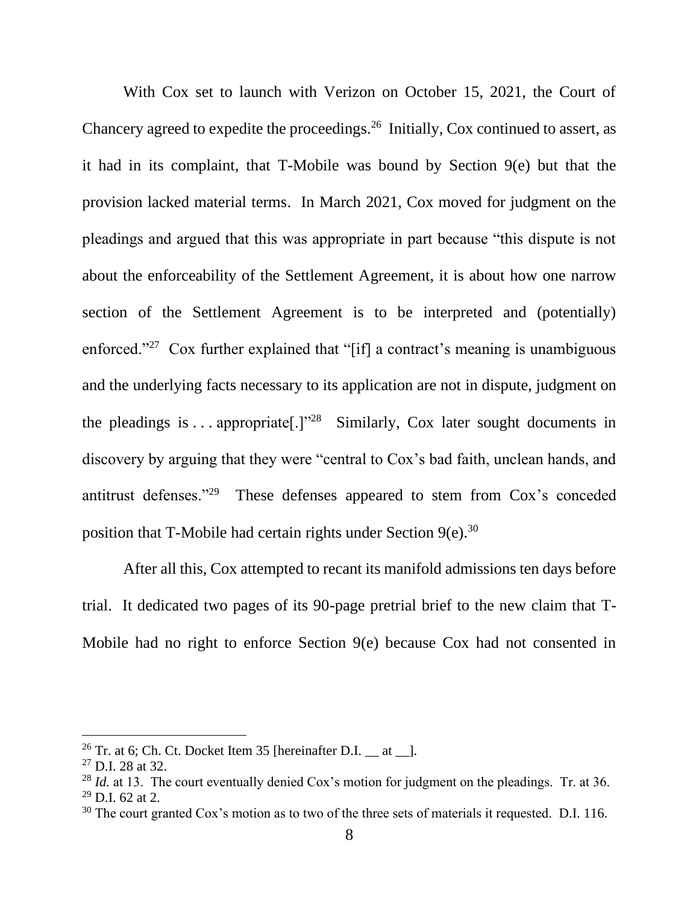With Cox set to launch with Verizon on October 15, 2021, the Court of Chancery agreed to expedite the proceedings.<sup>26</sup> Initially, Cox continued to assert, as it had in its complaint, that T-Mobile was bound by Section 9(e) but that the provision lacked material terms. In March 2021, Cox moved for judgment on the pleadings and argued that this was appropriate in part because "this dispute is not about the enforceability of the Settlement Agreement, it is about how one narrow section of the Settlement Agreement is to be interpreted and (potentially) enforced."<sup>27</sup> Cox further explained that "[if] a contract's meaning is unambiguous and the underlying facts necessary to its application are not in dispute, judgment on the pleadings is . . . appropriate<sup>[1]</sup><sup>28</sup> Similarly, Cox later sought documents in discovery by arguing that they were "central to Cox's bad faith, unclean hands, and antitrust defenses."<sup>29</sup> These defenses appeared to stem from Cox's conceded position that T-Mobile had certain rights under Section  $9(e).$ <sup>30</sup>

After all this, Cox attempted to recant its manifold admissions ten days before trial. It dedicated two pages of its 90-page pretrial brief to the new claim that T-Mobile had no right to enforce Section 9(e) because Cox had not consented in

<sup>&</sup>lt;sup>26</sup> Tr. at 6; Ch. Ct. Docket Item 35 [hereinafter D.I. at  $\Box$ .

 $27$  D.I. 28 at 32.

<sup>&</sup>lt;sup>28</sup> *Id.* at 13. The court eventually denied Cox's motion for judgment on the pleadings. Tr. at 36.  $29$  D.I. 62 at 2.

<sup>&</sup>lt;sup>30</sup> The court granted Cox's motion as to two of the three sets of materials it requested. D.I. 116.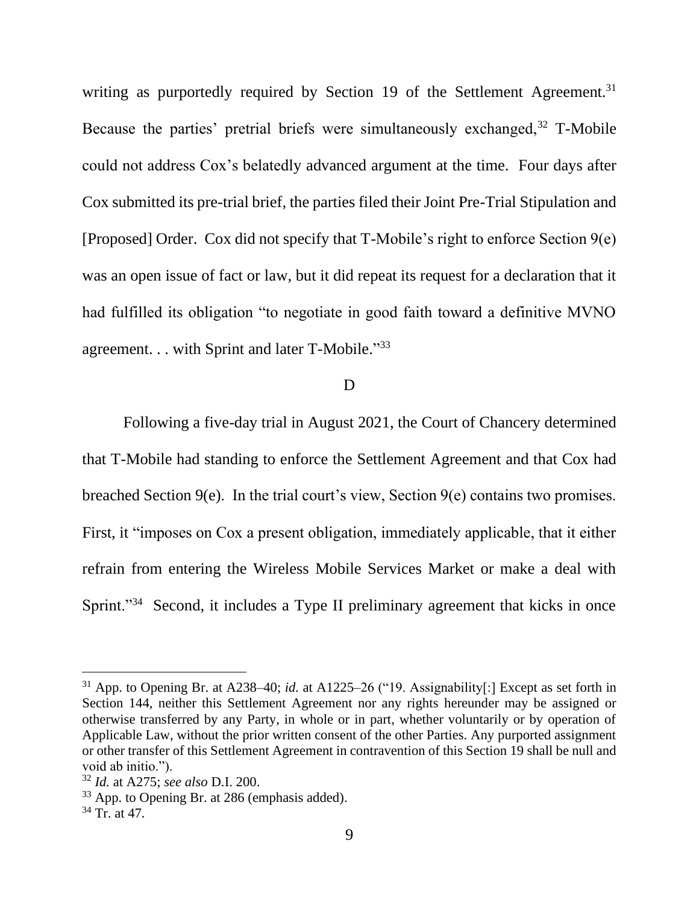writing as purportedly required by Section 19 of the Settlement Agreement.<sup>31</sup> Because the parties' pretrial briefs were simultaneously exchanged,  $32$  T-Mobile could not address Cox's belatedly advanced argument at the time. Four days after Cox submitted its pre-trial brief, the parties filed their Joint Pre-Trial Stipulation and [Proposed] Order. Cox did not specify that T-Mobile's right to enforce Section 9(e) was an open issue of fact or law, but it did repeat its request for a declaration that it had fulfilled its obligation "to negotiate in good faith toward a definitive MVNO agreement. . . with Sprint and later T-Mobile."33

## D

Following a five-day trial in August 2021, the Court of Chancery determined that T-Mobile had standing to enforce the Settlement Agreement and that Cox had breached Section 9(e). In the trial court's view, Section 9(e) contains two promises. First, it "imposes on Cox a present obligation, immediately applicable, that it either refrain from entering the Wireless Mobile Services Market or make a deal with Sprint."<sup>34</sup> Second, it includes a Type II preliminary agreement that kicks in once

<sup>31</sup> App. to Opening Br. at A238–40; *id.* at A1225–26 ("19. Assignability[:] Except as set forth in Section 144, neither this Settlement Agreement nor any rights hereunder may be assigned or otherwise transferred by any Party, in whole or in part, whether voluntarily or by operation of Applicable Law, without the prior written consent of the other Parties. Any purported assignment or other transfer of this Settlement Agreement in contravention of this Section 19 shall be null and void ab initio.").

<sup>32</sup> *Id.* at A275; *see also* D.I. 200.

<sup>33</sup> App. to Opening Br. at 286 (emphasis added).

 $34$  Tr. at 47.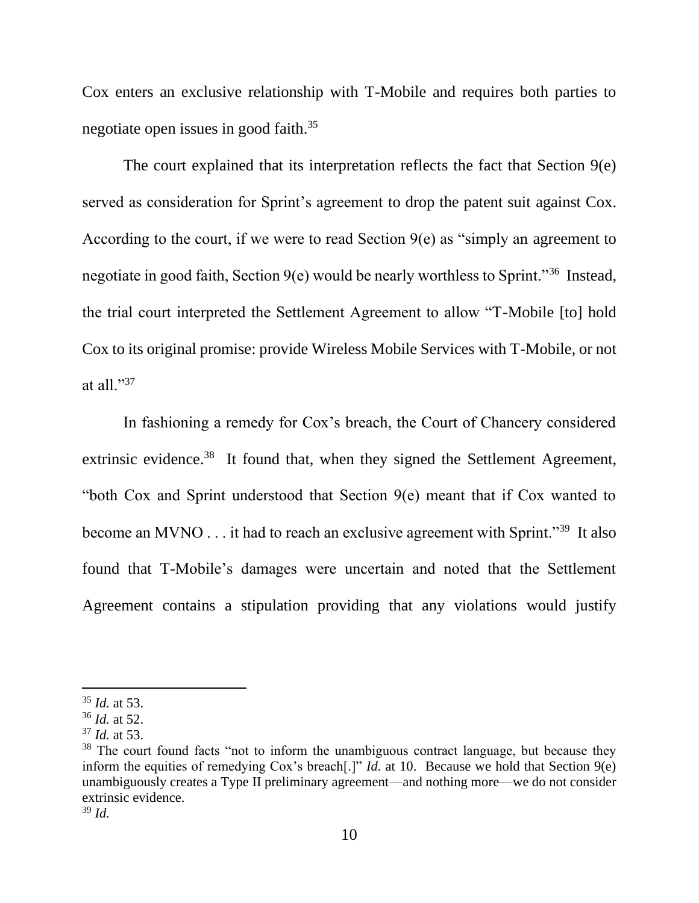Cox enters an exclusive relationship with T-Mobile and requires both parties to negotiate open issues in good faith.<sup>35</sup>

The court explained that its interpretation reflects the fact that Section 9(e) served as consideration for Sprint's agreement to drop the patent suit against Cox. According to the court, if we were to read Section  $9(e)$  as "simply an agreement to negotiate in good faith, Section 9(e) would be nearly worthless to Sprint."<sup>36</sup> Instead, the trial court interpreted the Settlement Agreement to allow "T-Mobile [to] hold Cox to its original promise: provide Wireless Mobile Services with T-Mobile, or not at all."<sup>37</sup>

In fashioning a remedy for Cox's breach, the Court of Chancery considered extrinsic evidence.<sup>38</sup> It found that, when they signed the Settlement Agreement, "both Cox and Sprint understood that Section 9(e) meant that if Cox wanted to become an MVNO . . . it had to reach an exclusive agreement with Sprint."<sup>39</sup> It also found that T-Mobile's damages were uncertain and noted that the Settlement Agreement contains a stipulation providing that any violations would justify

<sup>35</sup> *Id.* at 53.

<sup>36</sup> *Id.* at 52.

<sup>37</sup> *Id.* at 53.

<sup>&</sup>lt;sup>38</sup> The court found facts "not to inform the unambiguous contract language, but because they inform the equities of remedying Cox's breach[.]" *Id.* at 10. Because we hold that Section 9(e) unambiguously creates a Type II preliminary agreement—and nothing more—we do not consider extrinsic evidence.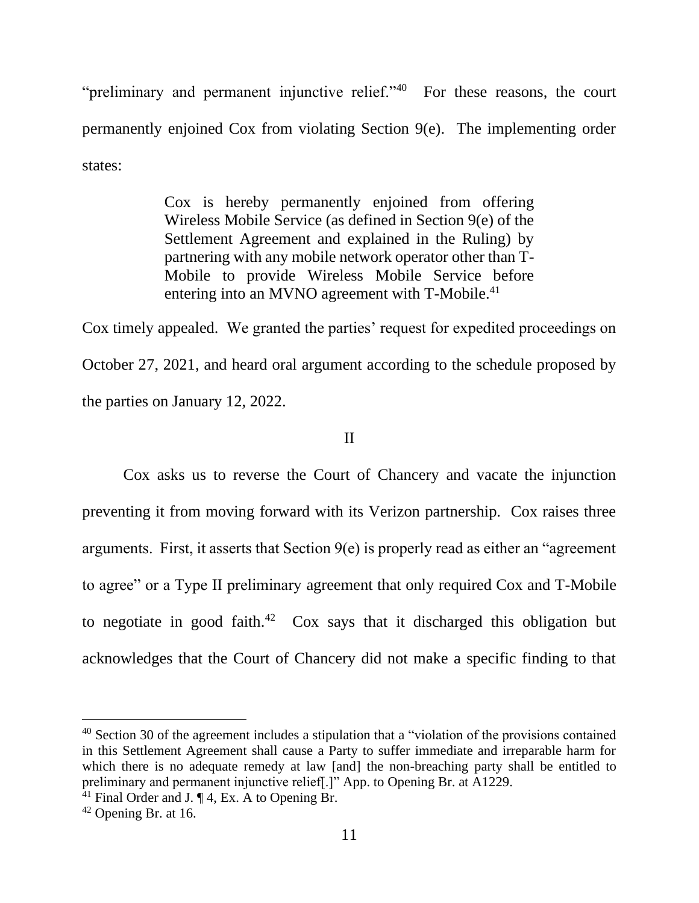"preliminary and permanent injunctive relief." $40$  For these reasons, the court permanently enjoined Cox from violating Section 9(e). The implementing order states:

> Cox is hereby permanently enjoined from offering Wireless Mobile Service (as defined in Section 9(e) of the Settlement Agreement and explained in the Ruling) by partnering with any mobile network operator other than T-Mobile to provide Wireless Mobile Service before entering into an MVNO agreement with T-Mobile.<sup>41</sup>

Cox timely appealed. We granted the parties' request for expedited proceedings on October 27, 2021, and heard oral argument according to the schedule proposed by the parties on January 12, 2022.

# II

Cox asks us to reverse the Court of Chancery and vacate the injunction preventing it from moving forward with its Verizon partnership. Cox raises three arguments. First, it asserts that Section 9(e) is properly read as either an "agreement to agree" or a Type II preliminary agreement that only required Cox and T-Mobile to negotiate in good faith.<sup>42</sup> Cox says that it discharged this obligation but acknowledges that the Court of Chancery did not make a specific finding to that

<sup>&</sup>lt;sup>40</sup> Section 30 of the agreement includes a stipulation that a "violation of the provisions contained in this Settlement Agreement shall cause a Party to suffer immediate and irreparable harm for which there is no adequate remedy at law [and] the non-breaching party shall be entitled to preliminary and permanent injunctive relief[.]" App. to Opening Br. at A1229.

 $^{41}$  Final Order and J. ¶ 4, Ex. A to Opening Br.

<sup>42</sup> Opening Br. at 16.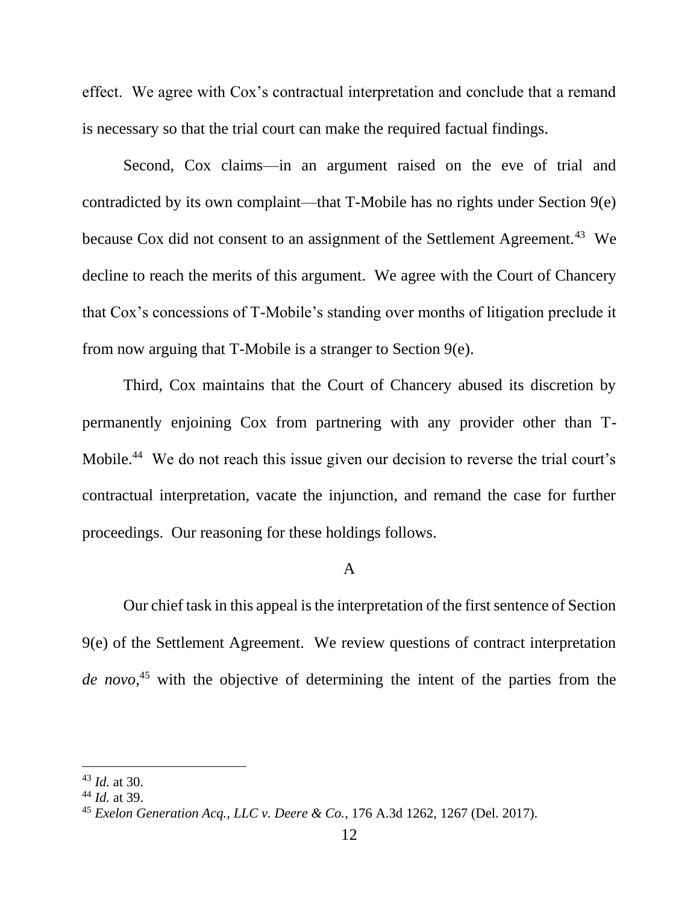effect. We agree with Cox's contractual interpretation and conclude that a remand is necessary so that the trial court can make the required factual findings.

Second, Cox claims—in an argument raised on the eve of trial and contradicted by its own complaint—that T-Mobile has no rights under Section 9(e) because Cox did not consent to an assignment of the Settlement Agreement.<sup>43</sup> We decline to reach the merits of this argument. We agree with the Court of Chancery that Cox's concessions of T-Mobile's standing over months of litigation preclude it from now arguing that T-Mobile is a stranger to Section 9(e).

Third, Cox maintains that the Court of Chancery abused its discretion by permanently enjoining Cox from partnering with any provider other than T-Mobile.<sup>44</sup> We do not reach this issue given our decision to reverse the trial court's contractual interpretation, vacate the injunction, and remand the case for further proceedings. Our reasoning for these holdings follows.

# A

Our chief task in this appeal is the interpretation of the first sentence of Section 9(e) of the Settlement Agreement. We review questions of contract interpretation *de novo*, <sup>45</sup> with the objective of determining the intent of the parties from the

<sup>43</sup> *Id.* at 30.

<sup>44</sup> *Id.* at 39.

<sup>45</sup> *Exelon Generation Acq., LLC v. Deere & Co.*, 176 A.3d 1262, 1267 (Del. 2017).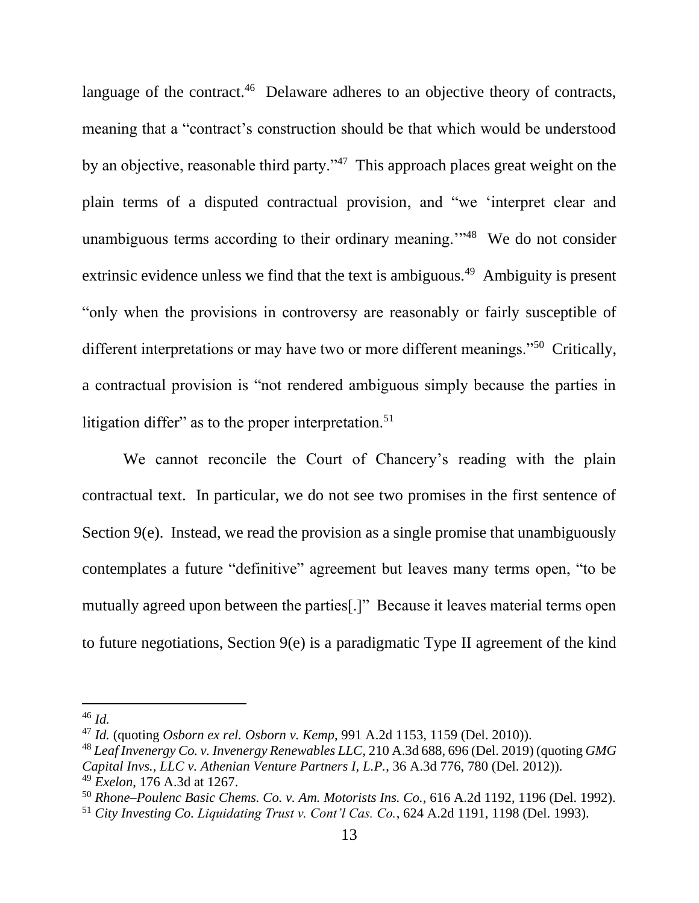language of the contract.<sup>46</sup> Delaware adheres to an objective theory of contracts, meaning that a "contract's construction should be that which would be understood by an objective, reasonable third party."<sup>47</sup> This approach places great weight on the plain terms of a disputed contractual provision, and "we 'interpret clear and unambiguous terms according to their ordinary meaning."<sup>48</sup> We do not consider extrinsic evidence unless we find that the text is ambiguous.<sup>49</sup> Ambiguity is present "only when the provisions in controversy are reasonably or fairly susceptible of different interpretations or may have two or more different meanings."<sup>50</sup> Critically, a contractual provision is "not rendered ambiguous simply because the parties in litigation differ" as to the proper interpretation.<sup>51</sup>

We cannot reconcile the Court of Chancery's reading with the plain contractual text. In particular, we do not see two promises in the first sentence of Section 9(e). Instead, we read the provision as a single promise that unambiguously contemplates a future "definitive" agreement but leaves many terms open, "to be mutually agreed upon between the parties[.]" Because it leaves material terms open to future negotiations, Section 9(e) is a paradigmatic Type II agreement of the kind

<sup>46</sup> *Id.*

<sup>47</sup> *Id.* (quoting *Osborn ex rel. Osborn v. Kemp*, 991 A.2d 1153, 1159 (Del. 2010)).

<sup>48</sup> *Leaf Invenergy Co. v. Invenergy Renewables LLC*, 210 A.3d 688, 696 (Del. 2019) (quoting *GMG Capital Invs., LLC v. Athenian Venture Partners I, L.P.*, 36 A.3d 776, 780 (Del. 2012)).

<sup>49</sup> *Exelon*, 176 A.3d at 1267.

<sup>50</sup> *Rhone–Poulenc Basic Chems. Co. v. Am. Motorists Ins. Co.*, 616 A.2d 1192, 1196 (Del. 1992).

<sup>51</sup> *City Investing Co. Liquidating Trust v. Cont'l Cas. Co.*, 624 A.2d 1191, 1198 (Del. 1993).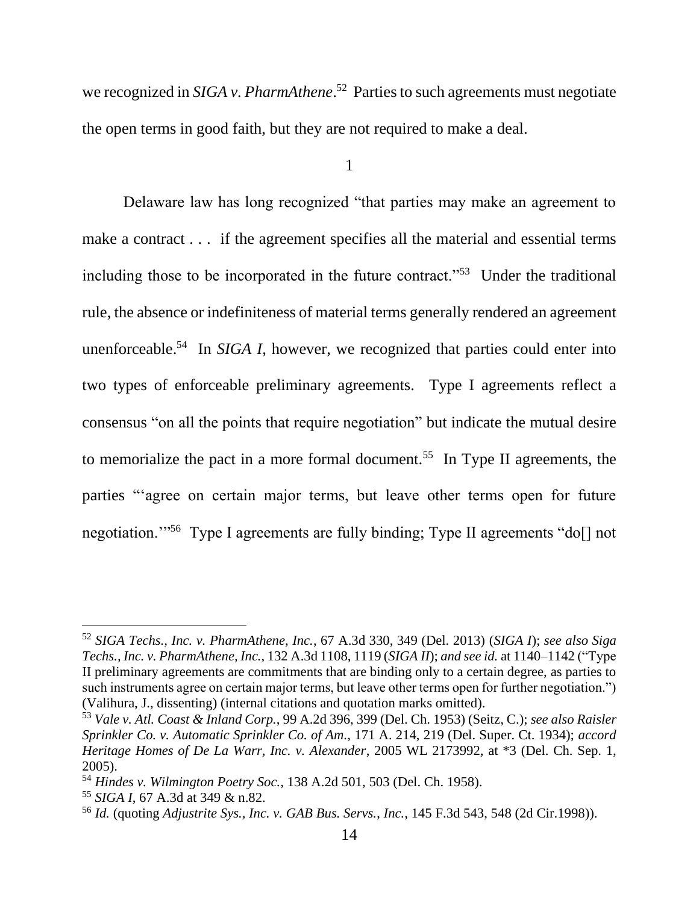we recognized in *SIGA v. PharmAthene*. 52 Parties to such agreements must negotiate the open terms in good faith, but they are not required to make a deal.

1

Delaware law has long recognized "that parties may make an agreement to make a contract . . . if the agreement specifies all the material and essential terms including those to be incorporated in the future contract."<sup>53</sup> Under the traditional rule, the absence or indefiniteness of material terms generally rendered an agreement unenforceable.<sup>54</sup> In *SIGA I*, however, we recognized that parties could enter into two types of enforceable preliminary agreements. Type I agreements reflect a consensus "on all the points that require negotiation" but indicate the mutual desire to memorialize the pact in a more formal document.<sup>55</sup> In Type II agreements, the parties "'agree on certain major terms, but leave other terms open for future negotiation."<sup>56</sup> Type I agreements are fully binding; Type II agreements "do[] not

<sup>52</sup> *SIGA Techs., Inc. v. PharmAthene, Inc.*, 67 A.3d 330, 349 (Del. 2013) (*SIGA I*); *see also Siga Techs., Inc. v. PharmAthene, Inc.*, 132 A.3d 1108, 1119 (*SIGA II*); *and see id.* at 1140–1142 ("Type II preliminary agreements are commitments that are binding only to a certain degree, as parties to such instruments agree on certain major terms, but leave other terms open for further negotiation.") (Valihura, J., dissenting) (internal citations and quotation marks omitted).

<sup>53</sup> *Vale v. Atl. Coast & Inland Corp.*, 99 A.2d 396, 399 (Del. Ch. 1953) (Seitz, C.); *see also Raisler Sprinkler Co. v. Automatic Sprinkler Co. of Am.*, 171 A. 214, 219 (Del. Super. Ct. 1934); *accord Heritage Homes of De La Warr, Inc. v. Alexander*, 2005 WL 2173992, at \*3 (Del. Ch. Sep. 1, 2005).

<sup>54</sup> *Hindes v. Wilmington Poetry Soc.*, 138 A.2d 501, 503 (Del. Ch. 1958).

<sup>55</sup> *SIGA I*, 67 A.3d at 349 & n.82.

<sup>56</sup> *Id.* (quoting *Adjustrite Sys., Inc. v. GAB Bus. Servs.*, *Inc.*, 145 F.3d 543, 548 (2d Cir.1998)).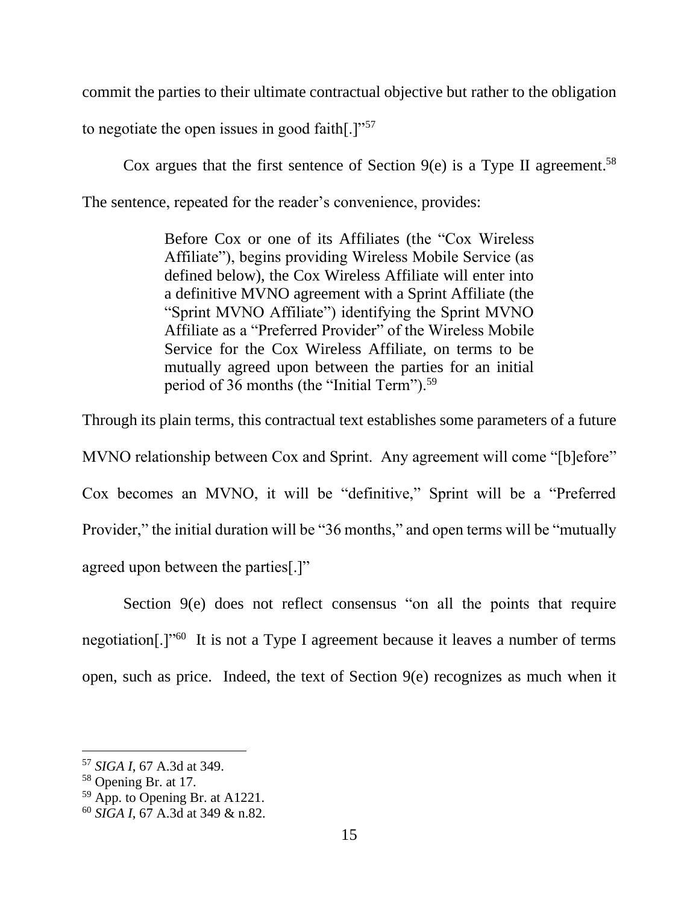commit the parties to their ultimate contractual objective but rather to the obligation

to negotiate the open issues in good faith[.] $v<sup>57</sup>$ 

Cox argues that the first sentence of Section  $9(e)$  is a Type II agreement.<sup>58</sup> The sentence, repeated for the reader's convenience, provides:

> Before Cox or one of its Affiliates (the "Cox Wireless Affiliate"), begins providing Wireless Mobile Service (as defined below), the Cox Wireless Affiliate will enter into a definitive MVNO agreement with a Sprint Affiliate (the "Sprint MVNO Affiliate") identifying the Sprint MVNO Affiliate as a "Preferred Provider" of the Wireless Mobile Service for the Cox Wireless Affiliate, on terms to be mutually agreed upon between the parties for an initial period of 36 months (the "Initial Term").<sup>59</sup>

Through its plain terms, this contractual text establishes some parameters of a future MVNO relationship between Cox and Sprint. Any agreement will come "[b]efore" Cox becomes an MVNO, it will be "definitive," Sprint will be a "Preferred Provider," the initial duration will be "36 months," and open terms will be "mutually agreed upon between the parties[.]"

Section 9(e) does not reflect consensus "on all the points that require negotiation[.]"<sup>60</sup> It is not a Type I agreement because it leaves a number of terms open, such as price. Indeed, the text of Section 9(e) recognizes as much when it

<sup>57</sup> *SIGA I*, 67 A.3d at 349.

<sup>58</sup> Opening Br. at 17.

<sup>59</sup> App. to Opening Br. at A1221.

<sup>60</sup> *SIGA I*, 67 A.3d at 349 & n.82.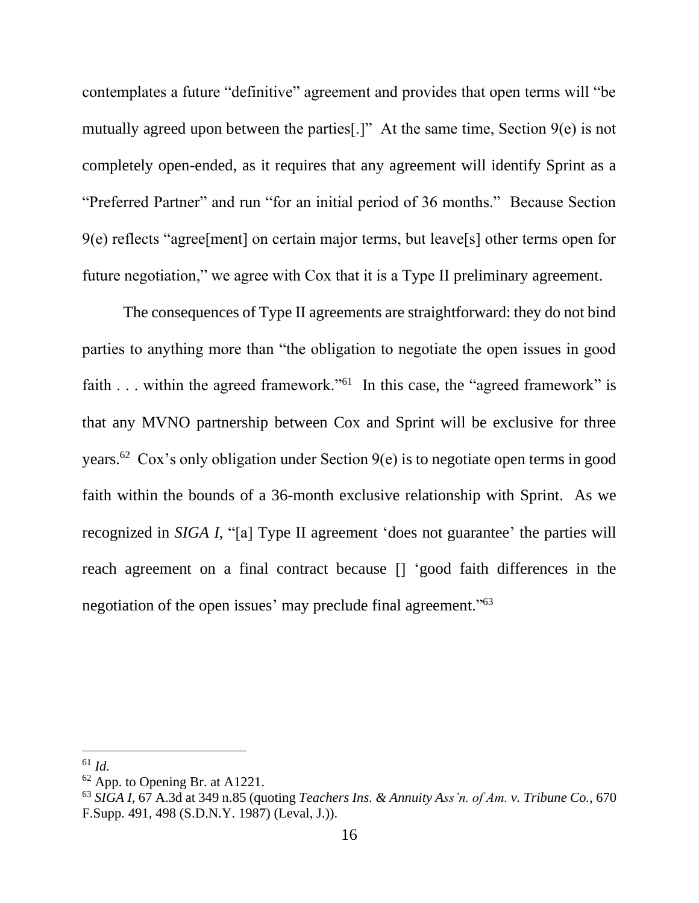contemplates a future "definitive" agreement and provides that open terms will "be mutually agreed upon between the parties[.]" At the same time, Section 9(e) is not completely open-ended, as it requires that any agreement will identify Sprint as a "Preferred Partner" and run "for an initial period of 36 months." Because Section 9(e) reflects "agree[ment] on certain major terms, but leave[s] other terms open for future negotiation," we agree with Cox that it is a Type II preliminary agreement.

The consequences of Type II agreements are straightforward: they do not bind parties to anything more than "the obligation to negotiate the open issues in good faith . . . within the agreed framework."<sup>61</sup> In this case, the "agreed framework" is that any MVNO partnership between Cox and Sprint will be exclusive for three years.<sup>62</sup> Cox's only obligation under Section  $9(e)$  is to negotiate open terms in good faith within the bounds of a 36-month exclusive relationship with Sprint. As we recognized in *SIGA I*, "[a] Type II agreement 'does not guarantee' the parties will reach agreement on a final contract because [] 'good faith differences in the negotiation of the open issues' may preclude final agreement."<sup>63</sup>

<sup>61</sup> *Id.*

 $62$  App. to Opening Br. at A1221.

<sup>63</sup> *SIGA I*, 67 A.3d at 349 n.85 (quoting *Teachers Ins. & Annuity Ass'n. of Am. v. Tribune Co.*, 670 F.Supp. 491, 498 (S.D.N.Y. 1987) (Leval, J.)).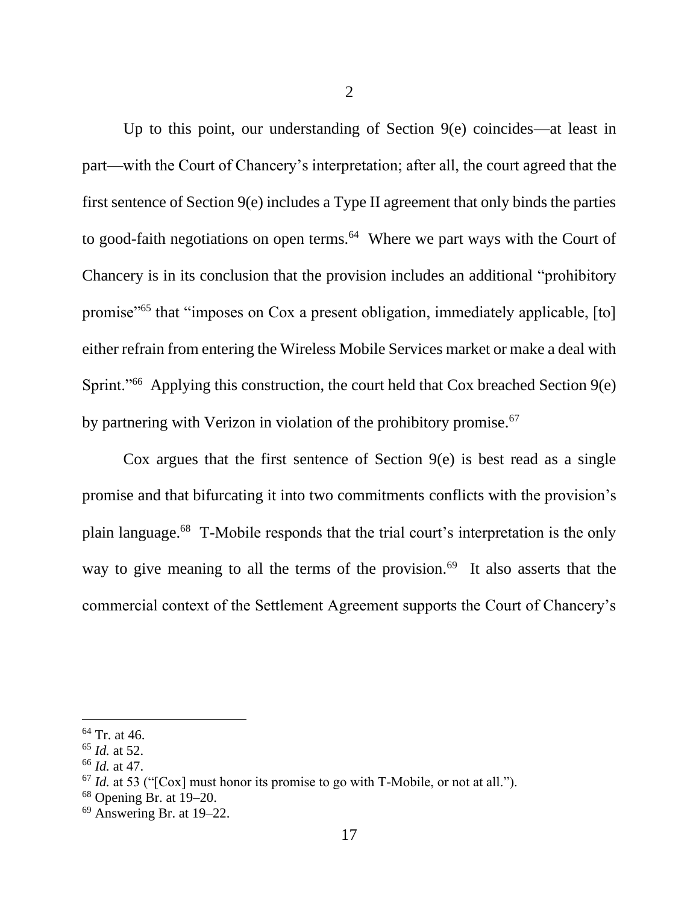Up to this point, our understanding of Section 9(e) coincides—at least in part—with the Court of Chancery's interpretation; after all, the court agreed that the first sentence of Section 9(e) includes a Type II agreement that only binds the parties to good-faith negotiations on open terms.<sup>64</sup> Where we part ways with the Court of Chancery is in its conclusion that the provision includes an additional "prohibitory promise"<sup>65</sup> that "imposes on Cox a present obligation, immediately applicable, [to] either refrain from entering the Wireless Mobile Services market or make a deal with Sprint."<sup>66</sup> Applying this construction, the court held that Cox breached Section 9(e) by partnering with Verizon in violation of the prohibitory promise.<sup>67</sup>

Cox argues that the first sentence of Section  $9(e)$  is best read as a single promise and that bifurcating it into two commitments conflicts with the provision's plain language.<sup>68</sup> T-Mobile responds that the trial court's interpretation is the only way to give meaning to all the terms of the provision.<sup>69</sup> It also asserts that the commercial context of the Settlement Agreement supports the Court of Chancery's

 $64$  Tr. at 46.

<sup>65</sup> *Id.* at 52.

<sup>66</sup> *Id.* at 47.

<sup>67</sup> *Id.* at 53 ("[Cox] must honor its promise to go with T-Mobile, or not at all.").

<sup>68</sup> Opening Br. at 19–20.

 $69$  Answering Br. at 19–22.

<sup>17</sup>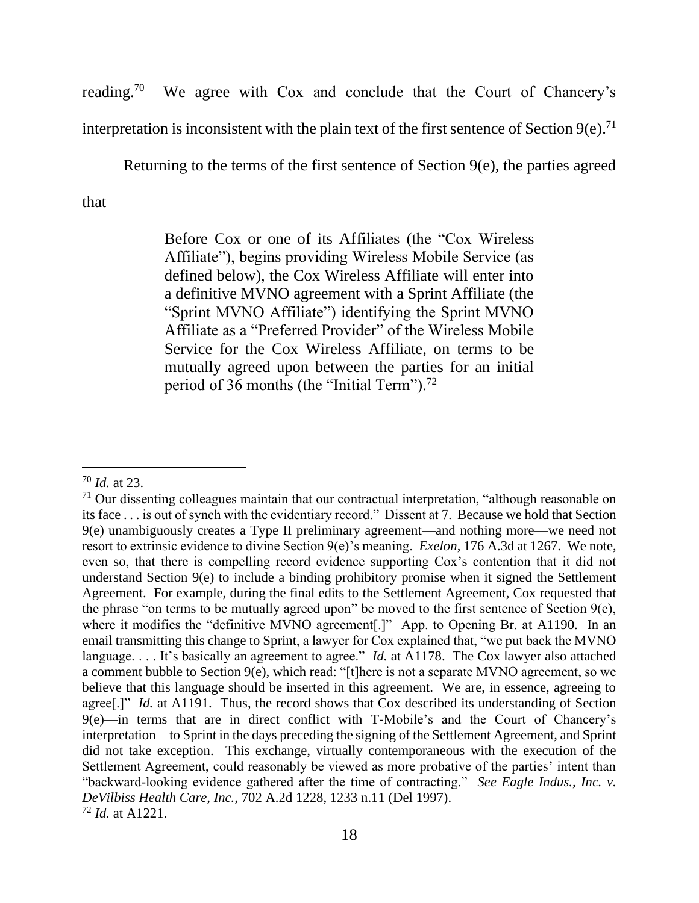reading.<sup>70</sup> We agree with Cox and conclude that the Court of Chancery's interpretation is inconsistent with the plain text of the first sentence of Section 9(e).<sup>71</sup>

Returning to the terms of the first sentence of Section 9(e), the parties agreed

that

Before Cox or one of its Affiliates (the "Cox Wireless Affiliate"), begins providing Wireless Mobile Service (as defined below), the Cox Wireless Affiliate will enter into a definitive MVNO agreement with a Sprint Affiliate (the "Sprint MVNO Affiliate") identifying the Sprint MVNO Affiliate as a "Preferred Provider" of the Wireless Mobile Service for the Cox Wireless Affiliate, on terms to be mutually agreed upon between the parties for an initial period of 36 months (the "Initial Term").<sup>72</sup>

<sup>70</sup> *Id.* at 23.

 $71$  Our dissenting colleagues maintain that our contractual interpretation, "although reasonable on its face . . . is out of synch with the evidentiary record." Dissent at 7. Because we hold that Section 9(e) unambiguously creates a Type II preliminary agreement—and nothing more—we need not resort to extrinsic evidence to divine Section 9(e)'s meaning. *Exelon*, 176 A.3d at 1267. We note, even so, that there is compelling record evidence supporting Cox's contention that it did not understand Section 9(e) to include a binding prohibitory promise when it signed the Settlement Agreement. For example, during the final edits to the Settlement Agreement, Cox requested that the phrase "on terms to be mutually agreed upon" be moved to the first sentence of Section 9(e), where it modifies the "definitive MVNO agreement[.]" App. to Opening Br. at A1190. In an email transmitting this change to Sprint, a lawyer for Cox explained that, "we put back the MVNO language. . . . It's basically an agreement to agree." *Id.* at A1178. The Cox lawyer also attached a comment bubble to Section 9(e), which read: "[t]here is not a separate MVNO agreement, so we believe that this language should be inserted in this agreement. We are, in essence, agreeing to agree[.]" *Id.* at A1191. Thus, the record shows that Cox described its understanding of Section 9(e)—in terms that are in direct conflict with T-Mobile's and the Court of Chancery's interpretation—to Sprint in the days preceding the signing of the Settlement Agreement, and Sprint did not take exception. This exchange, virtually contemporaneous with the execution of the Settlement Agreement, could reasonably be viewed as more probative of the parties' intent than "backward-looking evidence gathered after the time of contracting." *See Eagle Indus., Inc. v. DeVilbiss Health Care, Inc.,* 702 A.2d 1228, 1233 n.11 (Del 1997). <sup>72</sup> *Id.* at A1221.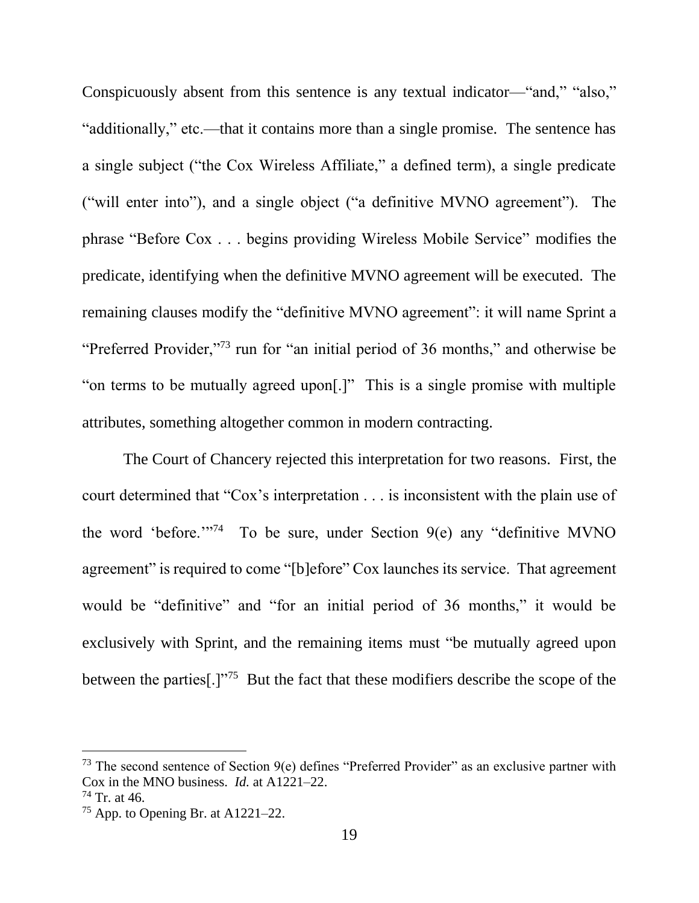Conspicuously absent from this sentence is any textual indicator—"and," "also," "additionally," etc.—that it contains more than a single promise. The sentence has a single subject ("the Cox Wireless Affiliate," a defined term), a single predicate ("will enter into"), and a single object ("a definitive MVNO agreement"). The phrase "Before Cox . . . begins providing Wireless Mobile Service" modifies the predicate, identifying when the definitive MVNO agreement will be executed. The remaining clauses modify the "definitive MVNO agreement": it will name Sprint a "Preferred Provider,"<sup>73</sup> run for "an initial period of 36 months," and otherwise be "on terms to be mutually agreed upon[.]" This is a single promise with multiple attributes, something altogether common in modern contracting.

The Court of Chancery rejected this interpretation for two reasons. First, the court determined that "Cox's interpretation . . . is inconsistent with the plain use of the word 'before."<sup>74</sup> To be sure, under Section  $9(e)$  any "definitive MVNO agreement" is required to come "[b]efore" Cox launches its service. That agreement would be "definitive" and "for an initial period of 36 months," it would be exclusively with Sprint, and the remaining items must "be mutually agreed upon between the parties[.]"<sup>75</sup> But the fact that these modifiers describe the scope of the

<sup>&</sup>lt;sup>73</sup> The second sentence of Section  $9(e)$  defines "Preferred Provider" as an exclusive partner with Cox in the MNO business. *Id.* at A1221–22.

 $74$  Tr. at 46.

<sup>75</sup> App. to Opening Br. at A1221–22.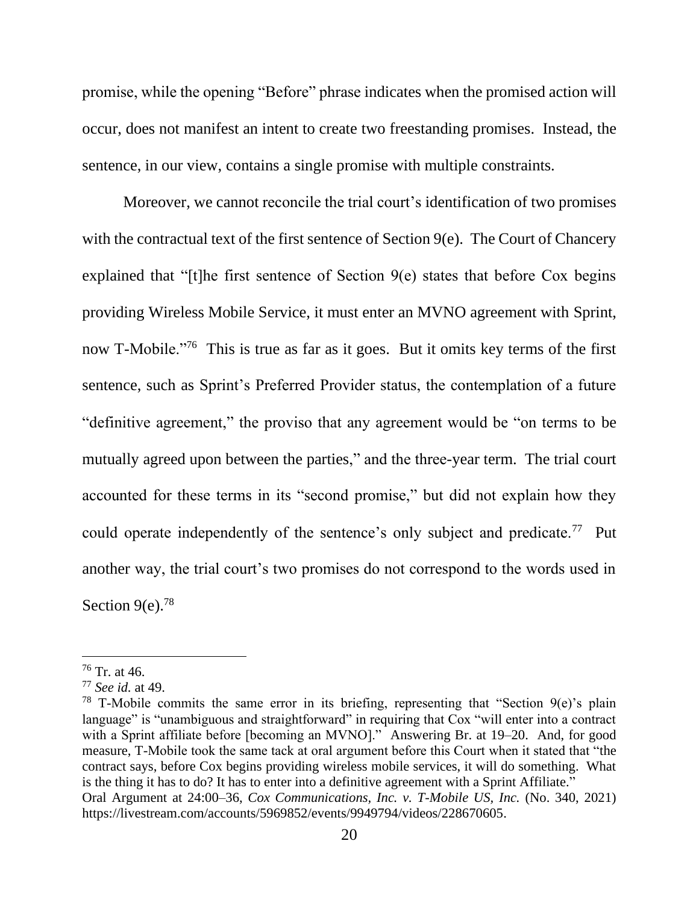promise, while the opening "Before" phrase indicates when the promised action will occur, does not manifest an intent to create two freestanding promises. Instead, the sentence, in our view, contains a single promise with multiple constraints.

Moreover, we cannot reconcile the trial court's identification of two promises with the contractual text of the first sentence of Section 9(e). The Court of Chancery explained that "[t]he first sentence of Section  $9(e)$  states that before Cox begins providing Wireless Mobile Service, it must enter an MVNO agreement with Sprint, now T-Mobile."<sup>76</sup> This is true as far as it goes. But it omits key terms of the first sentence, such as Sprint's Preferred Provider status, the contemplation of a future "definitive agreement," the proviso that any agreement would be "on terms to be mutually agreed upon between the parties," and the three-year term. The trial court accounted for these terms in its "second promise," but did not explain how they could operate independently of the sentence's only subject and predicate.<sup>77</sup> Put another way, the trial court's two promises do not correspond to the words used in Section  $9(e)$ .<sup>78</sup>

 $76$  Tr. at 46.

<sup>77</sup> *See id.* at 49.

<sup>&</sup>lt;sup>78</sup> T-Mobile commits the same error in its briefing, representing that "Section  $9(e)$ 's plain language" is "unambiguous and straightforward" in requiring that Cox "will enter into a contract with a Sprint affiliate before [becoming an MVNO]." Answering Br. at 19–20. And, for good measure, T-Mobile took the same tack at oral argument before this Court when it stated that "the contract says, before Cox begins providing wireless mobile services, it will do something. What is the thing it has to do? It has to enter into a definitive agreement with a Sprint Affiliate." Oral Argument at 24:00–36, *Cox Communications, Inc. v. T-Mobile US, Inc.* (No. 340, 2021) https://livestream.com/accounts/5969852/events/9949794/videos/228670605.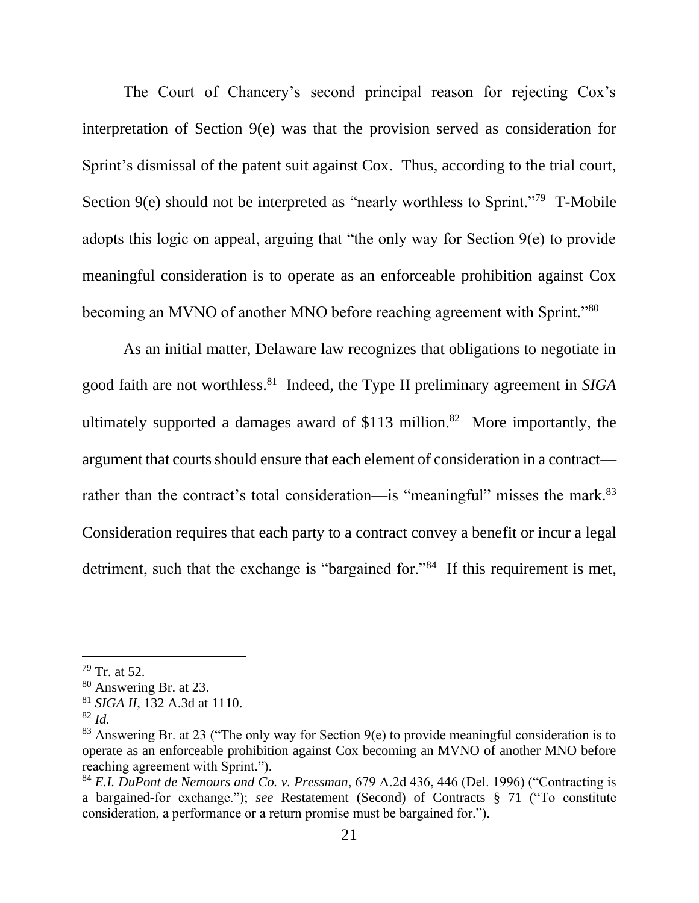The Court of Chancery's second principal reason for rejecting Cox's interpretation of Section 9(e) was that the provision served as consideration for Sprint's dismissal of the patent suit against Cox. Thus, according to the trial court, Section 9(e) should not be interpreted as "nearly worthless to Sprint."<sup>79</sup> T-Mobile adopts this logic on appeal, arguing that "the only way for Section 9(e) to provide meaningful consideration is to operate as an enforceable prohibition against Cox becoming an MVNO of another MNO before reaching agreement with Sprint."<sup>80</sup>

As an initial matter, Delaware law recognizes that obligations to negotiate in good faith are not worthless.<sup>81</sup> Indeed, the Type II preliminary agreement in *SIGA* ultimately supported a damages award of  $$113$  million.<sup>82</sup> More importantly, the argument that courts should ensure that each element of consideration in a contract rather than the contract's total consideration—is "meaningful" misses the mark.<sup>83</sup> Consideration requires that each party to a contract convey a benefit or incur a legal detriment, such that the exchange is "bargained for."<sup>84</sup> If this requirement is met,

 $79$  Tr. at 52.

<sup>80</sup> Answering Br. at 23.

<sup>81</sup> *SIGA II*, 132 A.3d at 1110.

<sup>82</sup> *Id.*

<sup>&</sup>lt;sup>83</sup> Answering Br. at 23 ("The only way for Section  $9(e)$  to provide meaningful consideration is to operate as an enforceable prohibition against Cox becoming an MVNO of another MNO before reaching agreement with Sprint.").

<sup>84</sup> *E.I. DuPont de Nemours and Co. v. Pressman*, 679 A.2d 436, 446 (Del. 1996) ("Contracting is a bargained-for exchange."); *see* Restatement (Second) of Contracts § 71 ("To constitute consideration, a performance or a return promise must be bargained for.").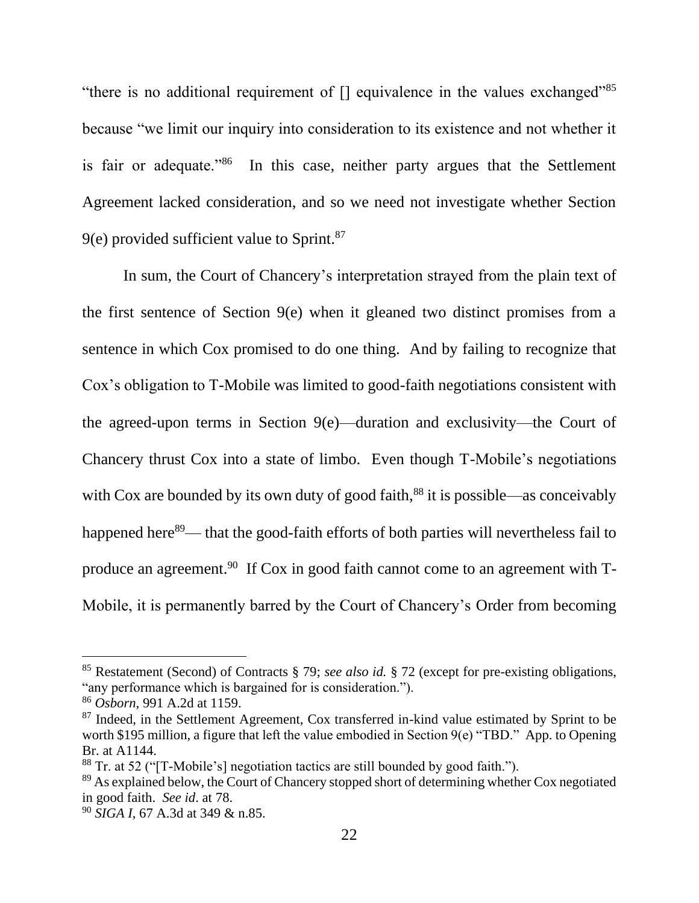"there is no additional requirement of  $\Box$  equivalence in the values exchanged"<sup>85</sup> because "we limit our inquiry into consideration to its existence and not whether it is fair or adequate."<sup>86</sup> In this case, neither party argues that the Settlement Agreement lacked consideration, and so we need not investigate whether Section  $9(e)$  provided sufficient value to Sprint.<sup>87</sup>

In sum, the Court of Chancery's interpretation strayed from the plain text of the first sentence of Section 9(e) when it gleaned two distinct promises from a sentence in which Cox promised to do one thing. And by failing to recognize that Cox's obligation to T-Mobile was limited to good-faith negotiations consistent with the agreed-upon terms in Section 9(e)—duration and exclusivity—the Court of Chancery thrust Cox into a state of limbo. Even though T-Mobile's negotiations with Cox are bounded by its own duty of good faith, $88$  it is possible—as conceivably happened here<sup>89</sup>— that the good-faith efforts of both parties will nevertheless fail to produce an agreement.<sup>90</sup> If Cox in good faith cannot come to an agreement with T-Mobile, it is permanently barred by the Court of Chancery's Order from becoming

<sup>85</sup> Restatement (Second) of Contracts § 79; *see also id.* § 72 (except for pre-existing obligations, "any performance which is bargained for is consideration.").

<sup>86</sup> *Osborn*, 991 A.2d at 1159.

<sup>&</sup>lt;sup>87</sup> Indeed, in the Settlement Agreement, Cox transferred in-kind value estimated by Sprint to be worth \$195 million, a figure that left the value embodied in Section 9(e) "TBD." App. to Opening Br. at A1144.

<sup>88</sup> Tr. at 52 ("[T-Mobile's] negotiation tactics are still bounded by good faith.").

<sup>&</sup>lt;sup>89</sup> As explained below, the Court of Chancery stopped short of determining whether Cox negotiated in good faith. *See id*. at 78.

<sup>90</sup> *SIGA I*, 67 A.3d at 349 & n.85.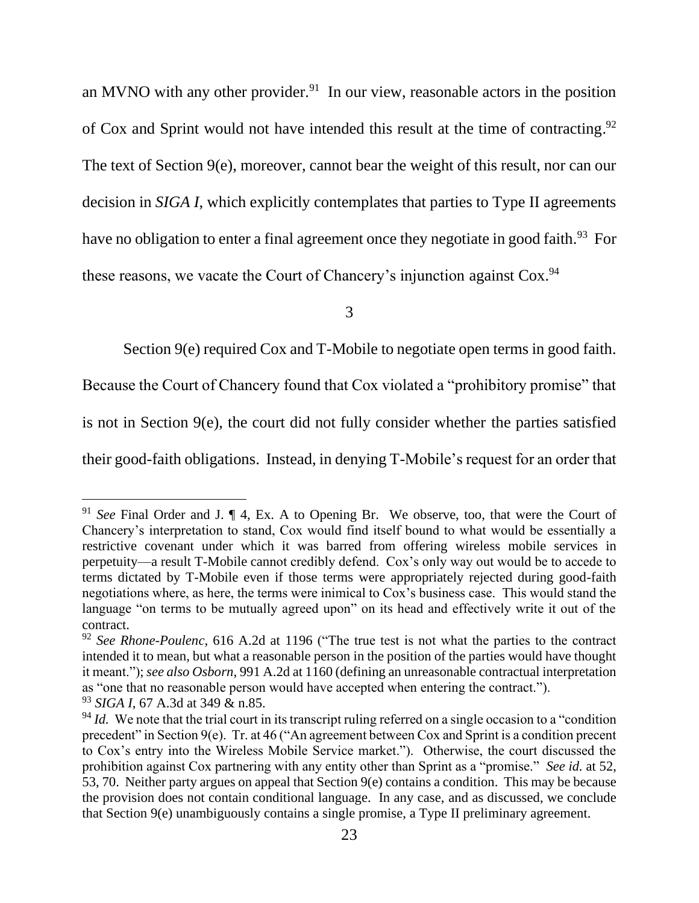an MVNO with any other provider.<sup>91</sup> In our view, reasonable actors in the position of Cox and Sprint would not have intended this result at the time of contracting. 92 The text of Section 9(e), moreover, cannot bear the weight of this result, nor can our decision in *SIGA I*, which explicitly contemplates that parties to Type II agreements have no obligation to enter a final agreement once they negotiate in good faith.<sup>93</sup> For these reasons, we vacate the Court of Chancery's injunction against Cox.<sup>94</sup>

3

Section 9(e) required Cox and T-Mobile to negotiate open terms in good faith.

Because the Court of Chancery found that Cox violated a "prohibitory promise" that

is not in Section 9(e), the court did not fully consider whether the parties satisfied

their good-faith obligations. Instead, in denying T-Mobile's request for an order that

<sup>91</sup> *See* Final Order and J. ¶ 4, Ex. A to Opening Br. We observe, too, that were the Court of Chancery's interpretation to stand, Cox would find itself bound to what would be essentially a restrictive covenant under which it was barred from offering wireless mobile services in perpetuity—a result T-Mobile cannot credibly defend. Cox's only way out would be to accede to terms dictated by T-Mobile even if those terms were appropriately rejected during good-faith negotiations where, as here, the terms were inimical to Cox's business case. This would stand the language "on terms to be mutually agreed upon" on its head and effectively write it out of the contract.

<sup>92</sup> *See Rhone-Poulenc*, 616 A.2d at 1196 ("The true test is not what the parties to the contract intended it to mean, but what a reasonable person in the position of the parties would have thought it meant."); *see also Osborn*, 991 A.2d at 1160 (defining an unreasonable contractual interpretation as "one that no reasonable person would have accepted when entering the contract.").

<sup>93</sup> *SIGA I*, 67 A.3d at 349 & n.85.

<sup>&</sup>lt;sup>94</sup> *Id.* We note that the trial court in its transcript ruling referred on a single occasion to a "condition" precedent" in Section 9(e). Tr. at 46 ("An agreement between Cox and Sprint is a condition precent to Cox's entry into the Wireless Mobile Service market."). Otherwise, the court discussed the prohibition against Cox partnering with any entity other than Sprint as a "promise." *See id.* at 52, 53, 70. Neither party argues on appeal that Section 9(e) contains a condition. This may be because the provision does not contain conditional language. In any case, and as discussed, we conclude that Section 9(e) unambiguously contains a single promise, a Type II preliminary agreement.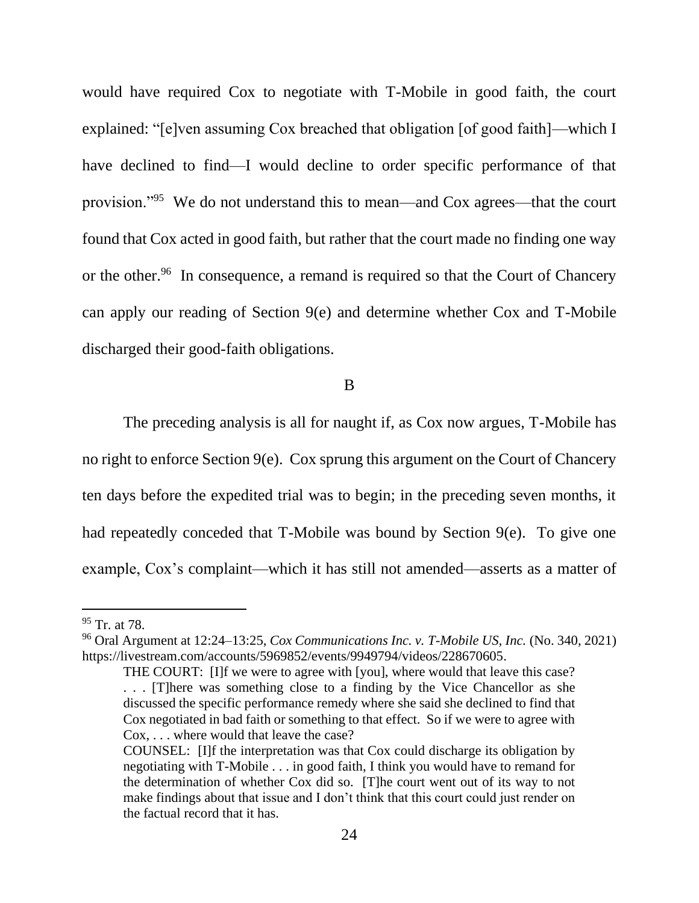would have required Cox to negotiate with T-Mobile in good faith, the court explained: "[e]ven assuming Cox breached that obligation [of good faith]—which I have declined to find—I would decline to order specific performance of that provision."<sup>95</sup> We do not understand this to mean—and Cox agrees—that the court found that Cox acted in good faith, but rather that the court made no finding one way or the other.<sup>96</sup> In consequence, a remand is required so that the Court of Chancery can apply our reading of Section 9(e) and determine whether Cox and T-Mobile discharged their good-faith obligations.

B

The preceding analysis is all for naught if, as Cox now argues, T-Mobile has no right to enforce Section 9(e). Cox sprung this argument on the Court of Chancery ten days before the expedited trial was to begin; in the preceding seven months, it had repeatedly conceded that T-Mobile was bound by Section 9(e). To give one example, Cox's complaint—which it has still not amended—asserts as a matter of

 $^{95}$  Tr. at 78.

<sup>96</sup> Oral Argument at 12:24–13:25, *Cox Communications Inc. v. T-Mobile US, Inc.* (No. 340, 2021) https://livestream.com/accounts/5969852/events/9949794/videos/228670605.

THE COURT: [I]f we were to agree with [you], where would that leave this case? . . . [T]here was something close to a finding by the Vice Chancellor as she discussed the specific performance remedy where she said she declined to find that Cox negotiated in bad faith or something to that effect. So if we were to agree with Cox, . . . where would that leave the case?

COUNSEL: [I]f the interpretation was that Cox could discharge its obligation by negotiating with T-Mobile . . . in good faith, I think you would have to remand for the determination of whether Cox did so. [T]he court went out of its way to not make findings about that issue and I don't think that this court could just render on the factual record that it has.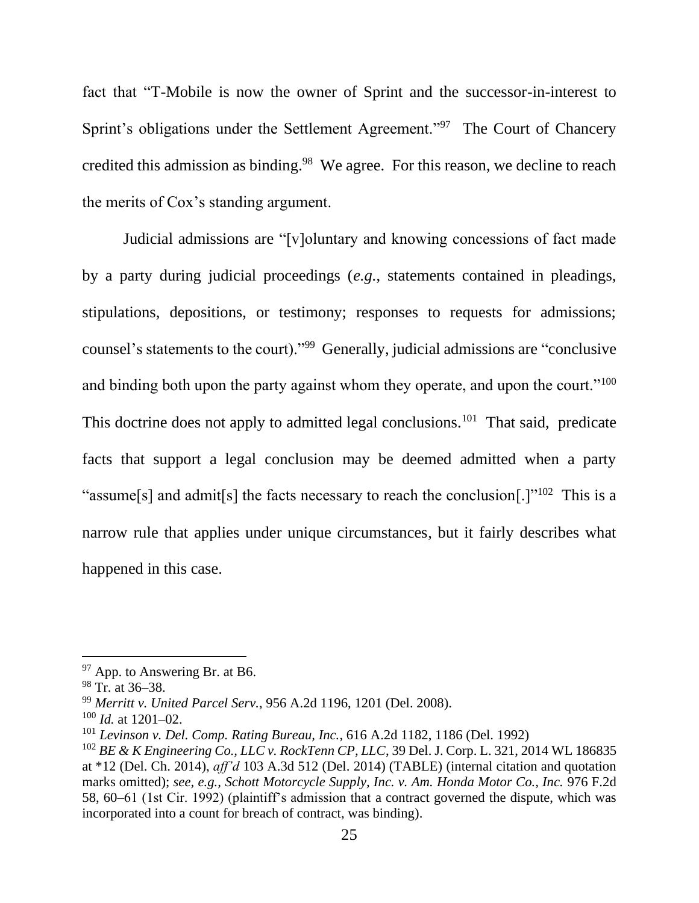fact that "T-Mobile is now the owner of Sprint and the successor-in-interest to Sprint's obligations under the Settlement Agreement."<sup>97</sup> The Court of Chancery credited this admission as binding.<sup>98</sup> We agree. For this reason, we decline to reach the merits of Cox's standing argument.

Judicial admissions are "[v]oluntary and knowing concessions of fact made by a party during judicial proceedings (*e.g.*, statements contained in pleadings, stipulations, depositions, or testimony; responses to requests for admissions; counsel's statements to the court)."<sup>99</sup> Generally, judicial admissions are "conclusive and binding both upon the party against whom they operate, and upon the court."<sup>100</sup> This doctrine does not apply to admitted legal conclusions.<sup>101</sup> That said, predicate facts that support a legal conclusion may be deemed admitted when a party "assume[s] and admit[s] the facts necessary to reach the conclusion[.] $1^{102}$  This is a narrow rule that applies under unique circumstances, but it fairly describes what happened in this case.

<sup>&</sup>lt;sup>97</sup> App. to Answering Br. at B6.

 $98$  Tr. at 36–38.

<sup>99</sup> *Merritt v. United Parcel Serv.*, 956 A.2d 1196, 1201 (Del. 2008).

<sup>100</sup> *Id.* at 1201–02.

<sup>101</sup> *Levinson v. Del. Comp. Rating Bureau, Inc.*, 616 A.2d 1182, 1186 (Del. 1992)

<sup>102</sup> *BE & K Engineering Co., LLC v. RockTenn CP, LLC*, 39 Del. J. Corp. L. 321, 2014 WL 186835 at \*12 (Del. Ch. 2014), *aff'd* 103 A.3d 512 (Del. 2014) (TABLE) (internal citation and quotation marks omitted); *see, e.g., Schott Motorcycle Supply, Inc. v. Am. Honda Motor Co., Inc.* 976 F.2d 58, 60–61 (1st Cir. 1992) (plaintiff's admission that a contract governed the dispute, which was incorporated into a count for breach of contract, was binding).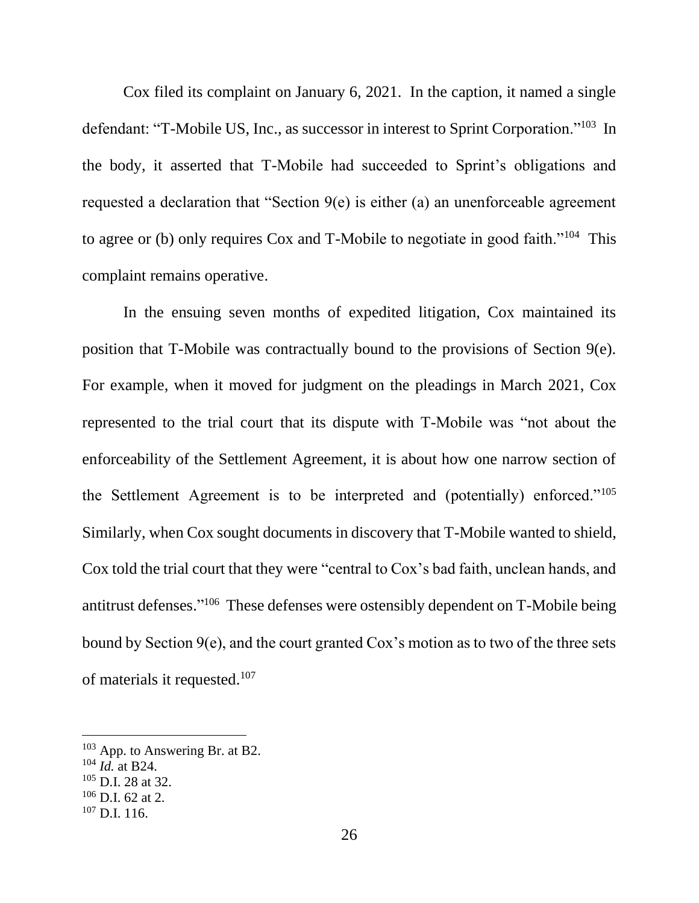Cox filed its complaint on January 6, 2021. In the caption, it named a single defendant: "T-Mobile US, Inc., as successor in interest to Sprint Corporation."<sup>103</sup> In the body, it asserted that T-Mobile had succeeded to Sprint's obligations and requested a declaration that "Section 9(e) is either (a) an unenforceable agreement to agree or (b) only requires Cox and T-Mobile to negotiate in good faith."<sup>104</sup> This complaint remains operative.

In the ensuing seven months of expedited litigation, Cox maintained its position that T-Mobile was contractually bound to the provisions of Section 9(e). For example, when it moved for judgment on the pleadings in March 2021, Cox represented to the trial court that its dispute with T-Mobile was "not about the enforceability of the Settlement Agreement, it is about how one narrow section of the Settlement Agreement is to be interpreted and (potentially) enforced."<sup>105</sup> Similarly, when Cox sought documents in discovery that T-Mobile wanted to shield, Cox told the trial court that they were "central to Cox's bad faith, unclean hands, and antitrust defenses." 106 These defenses were ostensibly dependent on T-Mobile being bound by Section 9(e), and the court granted Cox's motion as to two of the three sets of materials it requested.<sup>107</sup>

<sup>103</sup> App. to Answering Br. at B2.

<sup>104</sup> *Id.* at B24.

<sup>105</sup> D.I. 28 at 32.

 $106$  D.I. 62 at 2.

<sup>107</sup> D.I. 116.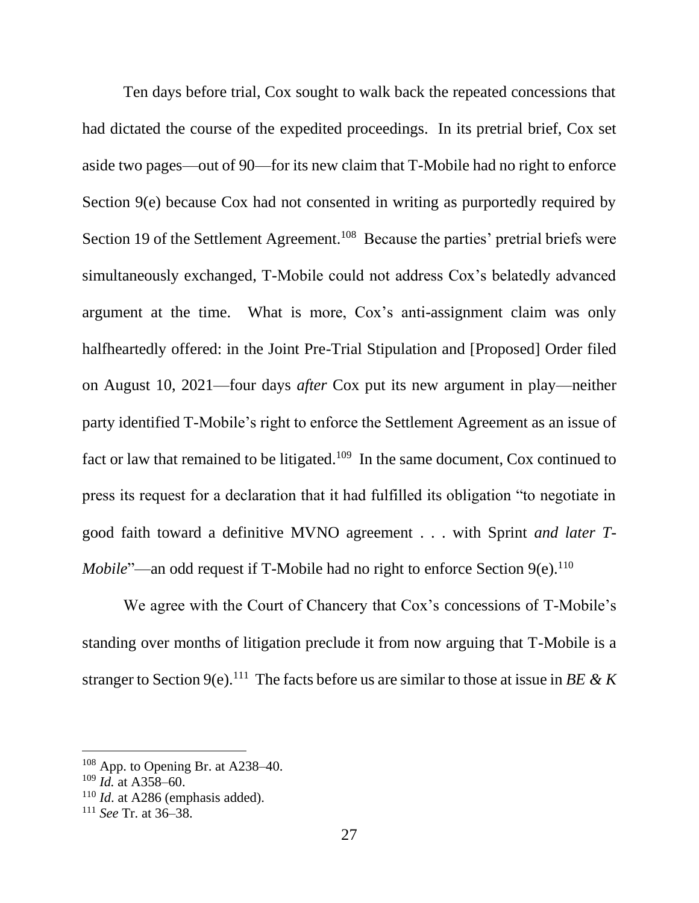Ten days before trial, Cox sought to walk back the repeated concessions that had dictated the course of the expedited proceedings. In its pretrial brief, Cox set aside two pages—out of 90—for its new claim that T-Mobile had no right to enforce Section 9(e) because Cox had not consented in writing as purportedly required by Section 19 of the Settlement Agreement.<sup>108</sup> Because the parties' pretrial briefs were simultaneously exchanged, T-Mobile could not address Cox's belatedly advanced argument at the time. What is more, Cox's anti-assignment claim was only halfheartedly offered: in the Joint Pre-Trial Stipulation and [Proposed] Order filed on August 10, 2021—four days *after* Cox put its new argument in play—neither party identified T-Mobile's right to enforce the Settlement Agreement as an issue of fact or law that remained to be litigated.<sup>109</sup> In the same document, Cox continued to press its request for a declaration that it had fulfilled its obligation "to negotiate in good faith toward a definitive MVNO agreement . . . with Sprint *and later T-Mobile*"—an odd request if T-Mobile had no right to enforce Section 9(e).<sup>110</sup>

We agree with the Court of Chancery that Cox's concessions of T-Mobile's standing over months of litigation preclude it from now arguing that T-Mobile is a stranger to Section 9(e).<sup>111</sup> The facts before us are similar to those at issue in *BE* & *K* 

<sup>108</sup> App. to Opening Br. at A238–40.

<sup>109</sup> *Id.* at A358–60.

<sup>&</sup>lt;sup>110</sup> *Id.* at A286 (emphasis added).

<sup>111</sup> *See* Tr. at 36–38.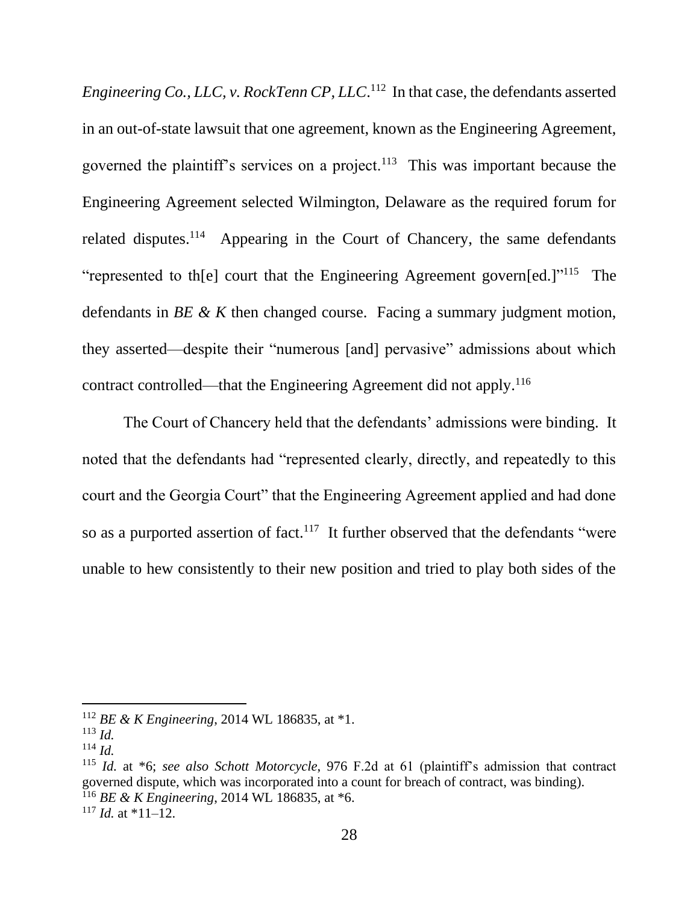*Engineering Co., LLC, v. RockTenn CP, LLC*. 112 In that case, the defendants asserted in an out-of-state lawsuit that one agreement, known as the Engineering Agreement, governed the plaintiff's services on a project.<sup>113</sup> This was important because the Engineering Agreement selected Wilmington, Delaware as the required forum for related disputes.<sup>114</sup> Appearing in the Court of Chancery, the same defendants "represented to th[e] court that the Engineering Agreement govern[ed.]"<sup>115</sup> The defendants in *BE & K* then changed course. Facing a summary judgment motion, they asserted—despite their "numerous [and] pervasive" admissions about which contract controlled—that the Engineering Agreement did not apply.<sup>116</sup>

The Court of Chancery held that the defendants' admissions were binding. It noted that the defendants had "represented clearly, directly, and repeatedly to this court and the Georgia Court" that the Engineering Agreement applied and had done so as a purported assertion of fact.<sup>117</sup> It further observed that the defendants "were unable to hew consistently to their new position and tried to play both sides of the

<sup>112</sup> *BE & K Engineering*, 2014 WL 186835, at \*1.

<sup>113</sup> *Id.*

<sup>114</sup> *Id.*

<sup>115</sup> *Id.* at \*6; *see also Schott Motorcycle*, 976 F.2d at 61 (plaintiff's admission that contract governed dispute, which was incorporated into a count for breach of contract, was binding). <sup>116</sup> *BE & K Engineering*, 2014 WL 186835, at \*6.

 $117$  *Id.* at \*11–12.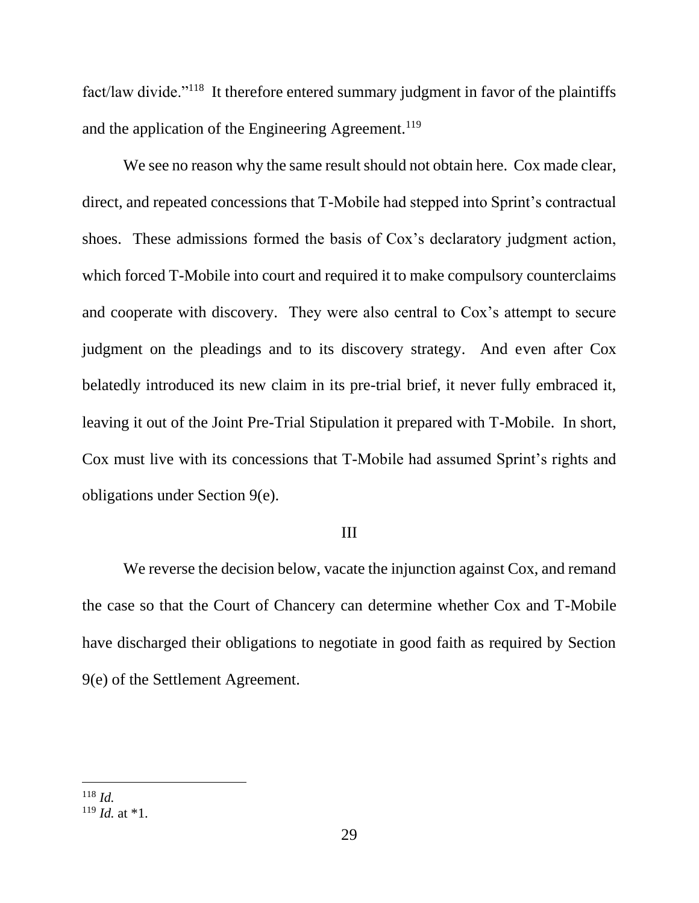fact/law divide."<sup>118</sup> It therefore entered summary judgment in favor of the plaintiffs and the application of the Engineering Agreement.<sup>119</sup>

We see no reason why the same result should not obtain here. Cox made clear, direct, and repeated concessions that T-Mobile had stepped into Sprint's contractual shoes. These admissions formed the basis of Cox's declaratory judgment action, which forced T-Mobile into court and required it to make compulsory counterclaims and cooperate with discovery. They were also central to Cox's attempt to secure judgment on the pleadings and to its discovery strategy. And even after Cox belatedly introduced its new claim in its pre-trial brief, it never fully embraced it, leaving it out of the Joint Pre-Trial Stipulation it prepared with T-Mobile. In short, Cox must live with its concessions that T-Mobile had assumed Sprint's rights and obligations under Section 9(e).

### III

We reverse the decision below, vacate the injunction against Cox, and remand the case so that the Court of Chancery can determine whether Cox and T-Mobile have discharged their obligations to negotiate in good faith as required by Section 9(e) of the Settlement Agreement.

<sup>118</sup> *Id.*

 $119$  *Id.* at \*1.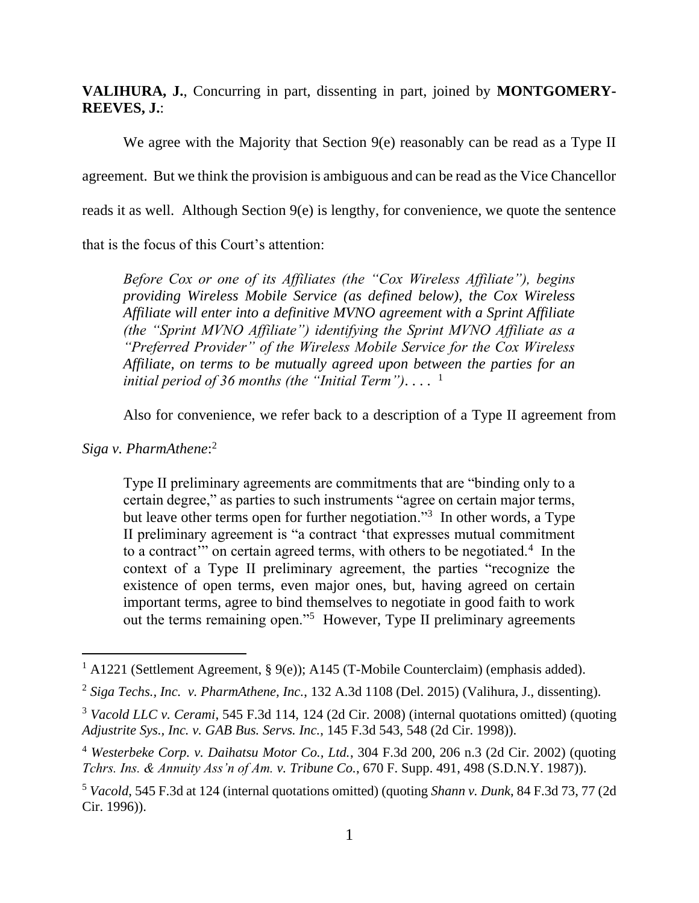**VALIHURA, J.**, Concurring in part, dissenting in part, joined by **MONTGOMERY-REEVES, J.**:

We agree with the Majority that Section 9(e) reasonably can be read as a Type II agreement. But we think the provision is ambiguous and can be read as the Vice Chancellor reads it as well. Although Section 9(e) is lengthy, for convenience, we quote the sentence that is the focus of this Court's attention:

*Before Cox or one of its Affiliates (the "Cox Wireless Affiliate"), begins providing Wireless Mobile Service (as defined below), the Cox Wireless Affiliate will enter into a definitive MVNO agreement with a Sprint Affiliate (the "Sprint MVNO Affiliate") identifying the Sprint MVNO Affiliate as a "Preferred Provider" of the Wireless Mobile Service for the Cox Wireless Affiliate, on terms to be mutually agreed upon between the parties for an initial period of 36 months (the "Initial Term")*. . . . 1

Also for convenience, we refer back to a description of a Type II agreement from

*Siga v. PharmAthene*: 2

Type II preliminary agreements are commitments that are "binding only to a certain degree," as parties to such instruments "agree on certain major terms, but leave other terms open for further negotiation."<sup>3</sup> In other words, a Type II preliminary agreement is "a contract 'that expresses mutual commitment to a contract" on certain agreed terms, with others to be negotiated.<sup>4</sup> In the context of a Type II preliminary agreement, the parties "recognize the existence of open terms, even major ones, but, having agreed on certain important terms, agree to bind themselves to negotiate in good faith to work out the terms remaining open."<sup>5</sup> However, Type II preliminary agreements

<sup>&</sup>lt;sup>1</sup> A1221 (Settlement Agreement, § 9(e)); A145 (T-Mobile Counterclaim) (emphasis added).

<sup>2</sup> *Siga Techs., Inc. v. PharmAthene, Inc.*, 132 A.3d 1108 (Del. 2015) (Valihura, J., dissenting).

<sup>3</sup> *Vacold LLC v. Cerami*, 545 F.3d 114, 124 (2d Cir. 2008) (internal quotations omitted) (quoting *Adjustrite Sys., Inc. v. GAB Bus. Servs. Inc.*, 145 F.3d 543, 548 (2d Cir. 1998)).

<sup>4</sup> *Westerbeke Corp. v. Daihatsu Motor Co., Ltd.*, 304 F.3d 200, 206 n.3 (2d Cir. 2002) (quoting *Tchrs. Ins. & Annuity Ass'n of Am. v. Tribune Co.*, 670 F. Supp. 491, 498 (S.D.N.Y. 1987)).

<sup>5</sup> *Vacold*, 545 F.3d at 124 (internal quotations omitted) (quoting *Shann v. Dunk*, 84 F.3d 73, 77 (2d Cir. 1996)).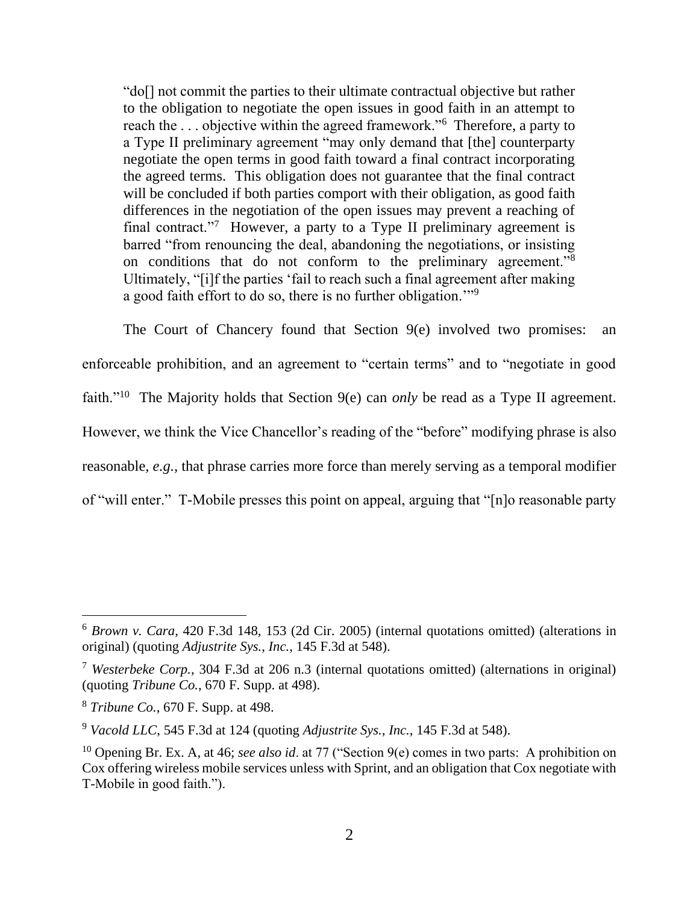"do[] not commit the parties to their ultimate contractual objective but rather to the obligation to negotiate the open issues in good faith in an attempt to reach the ... objective within the agreed framework."<sup>6</sup> Therefore, a party to a Type II preliminary agreement "may only demand that [the] counterparty negotiate the open terms in good faith toward a final contract incorporating the agreed terms. This obligation does not guarantee that the final contract will be concluded if both parties comport with their obligation, as good faith differences in the negotiation of the open issues may prevent a reaching of final contract."<sup>7</sup> However, a party to a Type II preliminary agreement is barred "from renouncing the deal, abandoning the negotiations, or insisting on conditions that do not conform to the preliminary agreement."<sup>8</sup> Ultimately, "[i]f the parties 'fail to reach such a final agreement after making a good faith effort to do so, there is no further obligation."<sup>9</sup>

The Court of Chancery found that Section 9(e) involved two promises: an enforceable prohibition, and an agreement to "certain terms" and to "negotiate in good faith."<sup>10</sup> The Majority holds that Section 9(e) can *only* be read as a Type II agreement. However, we think the Vice Chancellor's reading of the "before" modifying phrase is also reasonable, *e.g.,* that phrase carries more force than merely serving as a temporal modifier of "will enter." T-Mobile presses this point on appeal, arguing that "[n]o reasonable party

<sup>6</sup> *Brown v. Cara*, 420 F.3d 148, 153 (2d Cir. 2005) (internal quotations omitted) (alterations in original) (quoting *Adjustrite Sys., Inc.*, 145 F.3d at 548).

<sup>7</sup> *Westerbeke Corp.*, 304 F.3d at 206 n.3 (internal quotations omitted) (alternations in original) (quoting *Tribune Co.*, 670 F. Supp. at 498).

<sup>8</sup> *Tribune Co.*, 670 F. Supp. at 498.

<sup>9</sup> *Vacold LLC*, 545 F.3d at 124 (quoting *Adjustrite Sys., Inc.*, 145 F.3d at 548).

<sup>10</sup> Opening Br. Ex. A, at 46; *see also id*. at 77 ("Section 9(e) comes in two parts: A prohibition on Cox offering wireless mobile services unless with Sprint, and an obligation that Cox negotiate with T-Mobile in good faith.").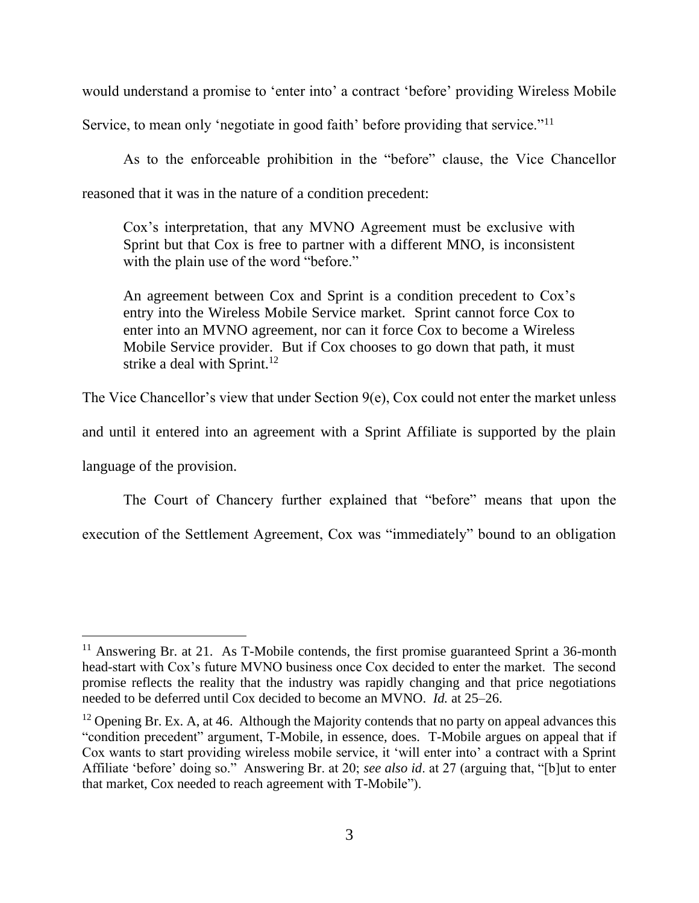would understand a promise to 'enter into' a contract 'before' providing Wireless Mobile

Service, to mean only 'negotiate in good faith' before providing that service."<sup>11</sup>

As to the enforceable prohibition in the "before" clause, the Vice Chancellor reasoned that it was in the nature of a condition precedent:

Cox's interpretation, that any MVNO Agreement must be exclusive with Sprint but that Cox is free to partner with a different MNO, is inconsistent with the plain use of the word "before."

An agreement between Cox and Sprint is a condition precedent to Cox's entry into the Wireless Mobile Service market. Sprint cannot force Cox to enter into an MVNO agreement, nor can it force Cox to become a Wireless Mobile Service provider. But if Cox chooses to go down that path, it must strike a deal with Sprint.<sup>12</sup>

The Vice Chancellor's view that under Section  $9(e)$ , Cox could not enter the market unless

and until it entered into an agreement with a Sprint Affiliate is supported by the plain

language of the provision.

The Court of Chancery further explained that "before" means that upon the execution of the Settlement Agreement, Cox was "immediately" bound to an obligation

<sup>&</sup>lt;sup>11</sup> Answering Br. at 21. As T-Mobile contends, the first promise guaranteed Sprint a 36-month head-start with Cox's future MVNO business once Cox decided to enter the market. The second promise reflects the reality that the industry was rapidly changing and that price negotiations needed to be deferred until Cox decided to become an MVNO. *Id.* at 25–26.

<sup>&</sup>lt;sup>12</sup> Opening Br. Ex. A, at 46. Although the Majority contends that no party on appeal advances this "condition precedent" argument, T-Mobile, in essence, does. T-Mobile argues on appeal that if Cox wants to start providing wireless mobile service, it 'will enter into' a contract with a Sprint Affiliate 'before' doing so." Answering Br. at 20; *see also id*. at 27 (arguing that, "[b]ut to enter that market, Cox needed to reach agreement with T-Mobile").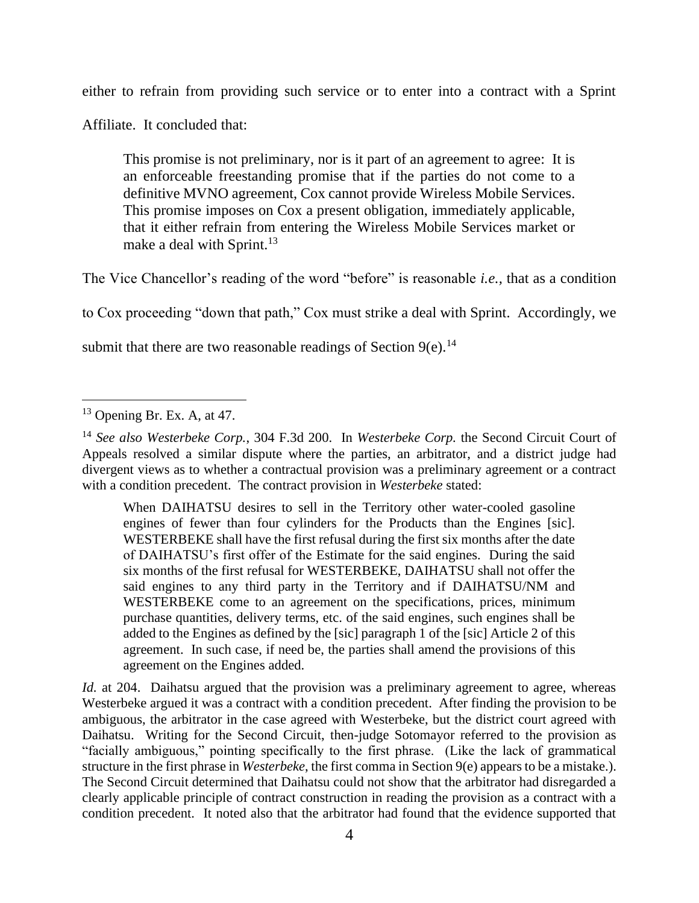either to refrain from providing such service or to enter into a contract with a Sprint

Affiliate. It concluded that:

This promise is not preliminary, nor is it part of an agreement to agree: It is an enforceable freestanding promise that if the parties do not come to a definitive MVNO agreement, Cox cannot provide Wireless Mobile Services. This promise imposes on Cox a present obligation, immediately applicable, that it either refrain from entering the Wireless Mobile Services market or make a deal with Sprint.<sup>13</sup>

The Vice Chancellor's reading of the word "before" is reasonable *i.e.,* that as a condition

to Cox proceeding "down that path," Cox must strike a deal with Sprint. Accordingly, we

submit that there are two reasonable readings of Section  $9(e)$ .<sup>14</sup>

When DAIHATSU desires to sell in the Territory other water-cooled gasoline engines of fewer than four cylinders for the Products than the Engines [sic]. WESTERBEKE shall have the first refusal during the first six months after the date of DAIHATSU's first offer of the Estimate for the said engines. During the said six months of the first refusal for WESTERBEKE, DAIHATSU shall not offer the said engines to any third party in the Territory and if DAIHATSU/NM and WESTERBEKE come to an agreement on the specifications, prices, minimum purchase quantities, delivery terms, etc. of the said engines, such engines shall be added to the Engines as defined by the [sic] paragraph 1 of the [sic] Article 2 of this agreement. In such case, if need be, the parties shall amend the provisions of this agreement on the Engines added.

*Id.* at 204. Daihatsu argued that the provision was a preliminary agreement to agree, whereas Westerbeke argued it was a contract with a condition precedent. After finding the provision to be ambiguous, the arbitrator in the case agreed with Westerbeke, but the district court agreed with Daihatsu. Writing for the Second Circuit, then-judge Sotomayor referred to the provision as "facially ambiguous," pointing specifically to the first phrase. (Like the lack of grammatical structure in the first phrase in *Westerbeke*, the first comma in Section 9(e) appears to be a mistake.). The Second Circuit determined that Daihatsu could not show that the arbitrator had disregarded a clearly applicable principle of contract construction in reading the provision as a contract with a condition precedent. It noted also that the arbitrator had found that the evidence supported that

 $13$  Opening Br. Ex. A, at 47.

<sup>14</sup> *See also Westerbeke Corp.*, 304 F.3d 200. In *Westerbeke Corp.* the Second Circuit Court of Appeals resolved a similar dispute where the parties, an arbitrator, and a district judge had divergent views as to whether a contractual provision was a preliminary agreement or a contract with a condition precedent. The contract provision in *Westerbeke* stated: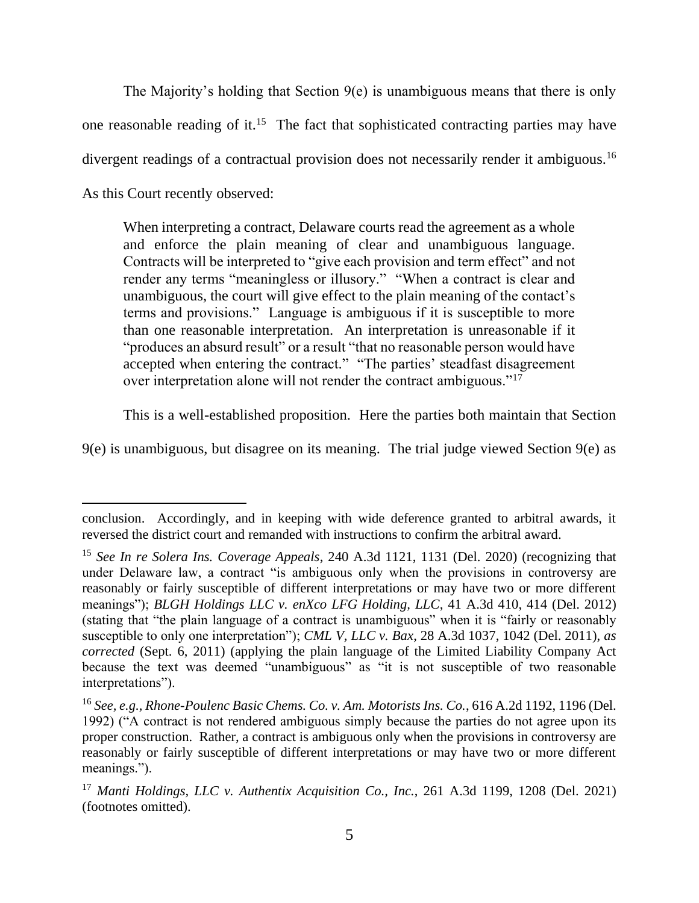The Majority's holding that Section 9(e) is unambiguous means that there is only one reasonable reading of it.<sup>15</sup> The fact that sophisticated contracting parties may have divergent readings of a contractual provision does not necessarily render it ambiguous.<sup>16</sup> As this Court recently observed:

When interpreting a contract, Delaware courts read the agreement as a whole and enforce the plain meaning of clear and unambiguous language. Contracts will be interpreted to "give each provision and term effect" and not render any terms "meaningless or illusory." "When a contract is clear and unambiguous, the court will give effect to the plain meaning of the contact's terms and provisions." Language is ambiguous if it is susceptible to more than one reasonable interpretation. An interpretation is unreasonable if it "produces an absurd result" or a result "that no reasonable person would have accepted when entering the contract." "The parties' steadfast disagreement over interpretation alone will not render the contract ambiguous."<sup>17</sup>

This is a well-established proposition. Here the parties both maintain that Section

9(e) is unambiguous, but disagree on its meaning. The trial judge viewed Section 9(e) as

conclusion. Accordingly, and in keeping with wide deference granted to arbitral awards, it reversed the district court and remanded with instructions to confirm the arbitral award.

<sup>15</sup> *See In re Solera Ins. Coverage Appeals*, 240 A.3d 1121, 1131 (Del. 2020) (recognizing that under Delaware law, a contract "is ambiguous only when the provisions in controversy are reasonably or fairly susceptible of different interpretations or may have two or more different meanings"); *BLGH Holdings LLC v. enXco LFG Holding, LLC*, 41 A.3d 410, 414 (Del. 2012) (stating that "the plain language of a contract is unambiguous" when it is "fairly or reasonably susceptible to only one interpretation"); *CML V, LLC v. Bax*, 28 A.3d 1037, 1042 (Del. 2011), *as corrected* (Sept. 6, 2011) (applying the plain language of the Limited Liability Company Act because the text was deemed "unambiguous" as "it is not susceptible of two reasonable interpretations").

<sup>16</sup> *See, e.g., Rhone-Poulenc Basic Chems. Co. v. Am. Motorists Ins. Co.*, 616 A.2d 1192, 1196 (Del. 1992) ("A contract is not rendered ambiguous simply because the parties do not agree upon its proper construction. Rather, a contract is ambiguous only when the provisions in controversy are reasonably or fairly susceptible of different interpretations or may have two or more different meanings.").

<sup>17</sup> *Manti Holdings, LLC v. Authentix Acquisition Co., Inc.*, 261 A.3d 1199, 1208 (Del. 2021) (footnotes omitted).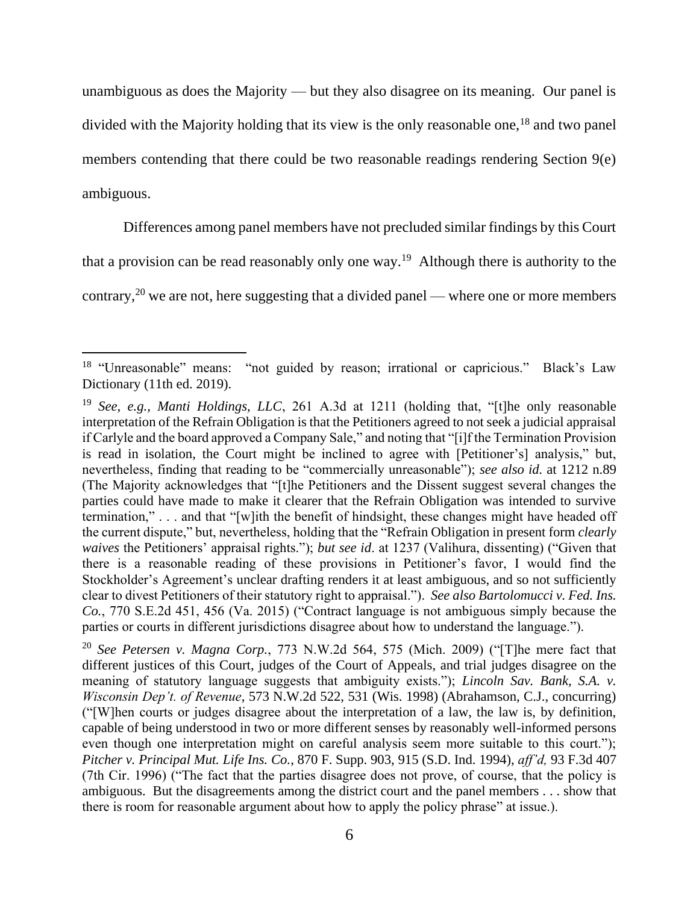unambiguous as does the Majority — but they also disagree on its meaning. Our panel is divided with the Majority holding that its view is the only reasonable one,<sup>18</sup> and two panel members contending that there could be two reasonable readings rendering Section 9(e) ambiguous.

Differences among panel members have not precluded similar findings by this Court that a provision can be read reasonably only one way.<sup>19</sup> Although there is authority to the

contrary,<sup>20</sup> we are not, here suggesting that a divided panel — where one or more members

<sup>&</sup>lt;sup>18</sup> "Unreasonable" means: "not guided by reason; irrational or capricious." Black's Law Dictionary (11th ed. 2019).

<sup>19</sup> *See, e.g., Manti Holdings, LLC*, 261 A.3d at 1211 (holding that, "[t]he only reasonable interpretation of the Refrain Obligation is that the Petitioners agreed to not seek a judicial appraisal if Carlyle and the board approved a Company Sale," and noting that "[i]f the Termination Provision is read in isolation, the Court might be inclined to agree with [Petitioner's] analysis," but, nevertheless, finding that reading to be "commercially unreasonable"); *see also id.* at 1212 n.89 (The Majority acknowledges that "[t]he Petitioners and the Dissent suggest several changes the parties could have made to make it clearer that the Refrain Obligation was intended to survive termination," . . . and that "[w]ith the benefit of hindsight, these changes might have headed off the current dispute," but, nevertheless, holding that the "Refrain Obligation in present form *clearly waives* the Petitioners' appraisal rights."); *but see id*. at 1237 (Valihura, dissenting) ("Given that there is a reasonable reading of these provisions in Petitioner's favor, I would find the Stockholder's Agreement's unclear drafting renders it at least ambiguous, and so not sufficiently clear to divest Petitioners of their statutory right to appraisal."). *See also Bartolomucci v. Fed. Ins. Co.*, 770 S.E.2d 451, 456 (Va. 2015) ("Contract language is not ambiguous simply because the parties or courts in different jurisdictions disagree about how to understand the language.").

<sup>20</sup> *See Petersen v. Magna Corp.*, 773 N.W.2d 564, 575 (Mich. 2009) ("[T]he mere fact that different justices of this Court, judges of the Court of Appeals, and trial judges disagree on the meaning of statutory language suggests that ambiguity exists."); *Lincoln Sav. Bank, S.A. v. Wisconsin Dep't. of Revenue*, 573 N.W.2d 522, 531 (Wis. 1998) (Abrahamson, C.J., concurring) ("[W]hen courts or judges disagree about the interpretation of a law, the law is, by definition, capable of being understood in two or more different senses by reasonably well-informed persons even though one interpretation might on careful analysis seem more suitable to this court."); *Pitcher v. Principal Mut. Life Ins. Co.*, 870 F. Supp. 903, 915 (S.D. Ind. 1994), *aff'd,* 93 F.3d 407 (7th Cir. 1996) ("The fact that the parties disagree does not prove, of course, that the policy is ambiguous. But the disagreements among the district court and the panel members . . . show that there is room for reasonable argument about how to apply the policy phrase" at issue.).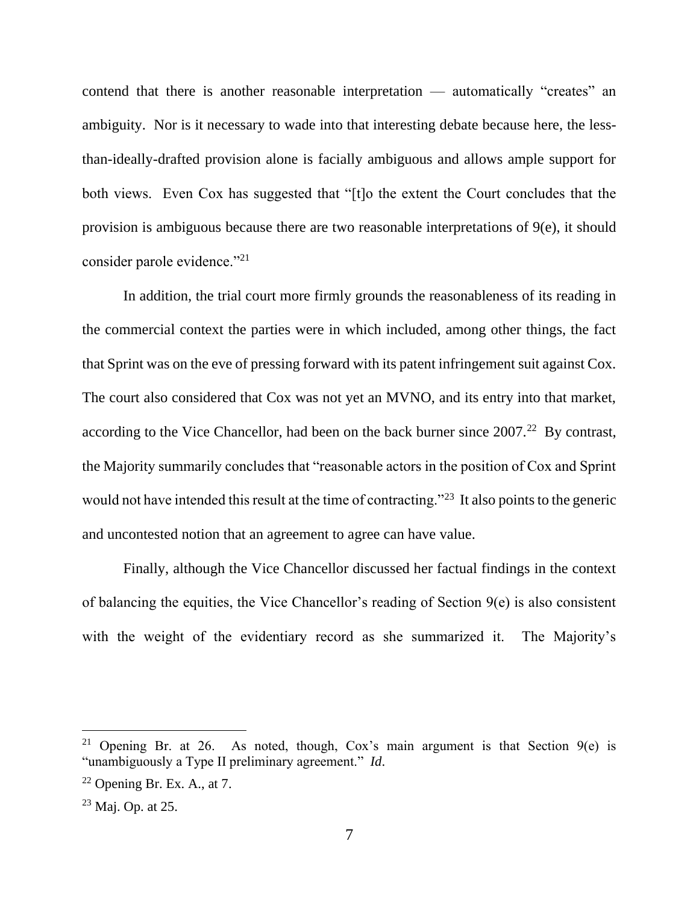contend that there is another reasonable interpretation — automatically "creates" an ambiguity. Nor is it necessary to wade into that interesting debate because here, the lessthan-ideally-drafted provision alone is facially ambiguous and allows ample support for both views. Even Cox has suggested that "[t]o the extent the Court concludes that the provision is ambiguous because there are two reasonable interpretations of 9(e), it should consider parole evidence."<sup>21</sup>

In addition, the trial court more firmly grounds the reasonableness of its reading in the commercial context the parties were in which included, among other things, the fact that Sprint was on the eve of pressing forward with its patent infringement suit against Cox. The court also considered that Cox was not yet an MVNO, and its entry into that market, according to the Vice Chancellor, had been on the back burner since  $2007<sup>22</sup>$  By contrast, the Majority summarily concludes that "reasonable actors in the position of Cox and Sprint would not have intended this result at the time of contracting."<sup>23</sup> It also points to the generic and uncontested notion that an agreement to agree can have value.

Finally, although the Vice Chancellor discussed her factual findings in the context of balancing the equities, the Vice Chancellor's reading of Section 9(e) is also consistent with the weight of the evidentiary record as she summarized it. The Majority's

<sup>&</sup>lt;sup>21</sup> Opening Br. at 26. As noted, though, Cox's main argument is that Section  $9(e)$  is "unambiguously a Type II preliminary agreement." *Id*.

 $22$  Opening Br. Ex. A., at 7.

<sup>23</sup> Maj. Op. at 25.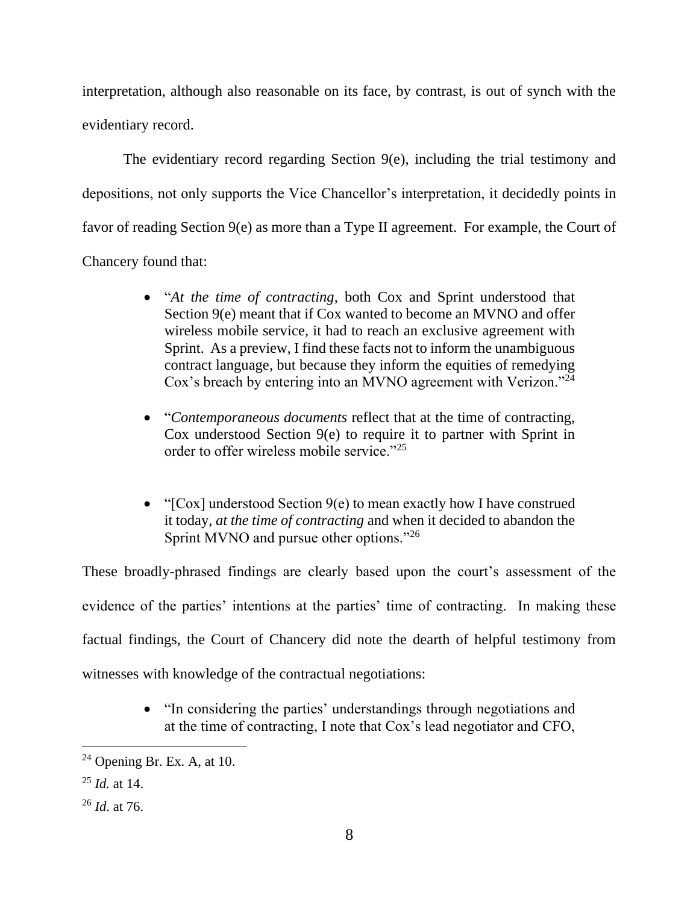interpretation, although also reasonable on its face, by contrast, is out of synch with the evidentiary record.

The evidentiary record regarding Section 9(e), including the trial testimony and depositions, not only supports the Vice Chancellor's interpretation, it decidedly points in favor of reading Section 9(e) as more than a Type II agreement. For example, the Court of Chancery found that:

- "*At the time of contracting*, both Cox and Sprint understood that Section 9(e) meant that if Cox wanted to become an MVNO and offer wireless mobile service, it had to reach an exclusive agreement with Sprint. As a preview, I find these facts not to inform the unambiguous contract language, but because they inform the equities of remedying Cox's breach by entering into an MVNO agreement with Verizon."<sup>24</sup>
- "*Contemporaneous documents* reflect that at the time of contracting, Cox understood Section 9(e) to require it to partner with Sprint in order to offer wireless mobile service."<sup>25</sup>
- "[Cox] understood Section 9(e) to mean exactly how I have construed it today, *at the time of contracting* and when it decided to abandon the Sprint MVNO and pursue other options."<sup>26</sup>

These broadly-phrased findings are clearly based upon the court's assessment of the evidence of the parties' intentions at the parties' time of contracting. In making these factual findings, the Court of Chancery did note the dearth of helpful testimony from witnesses with knowledge of the contractual negotiations:

> • "In considering the parties' understandings through negotiations and at the time of contracting, I note that Cox's lead negotiator and CFO,

 $24$  Opening Br. Ex. A, at 10.

<sup>25</sup> *Id.* at 14.

<sup>26</sup> *Id*. at 76.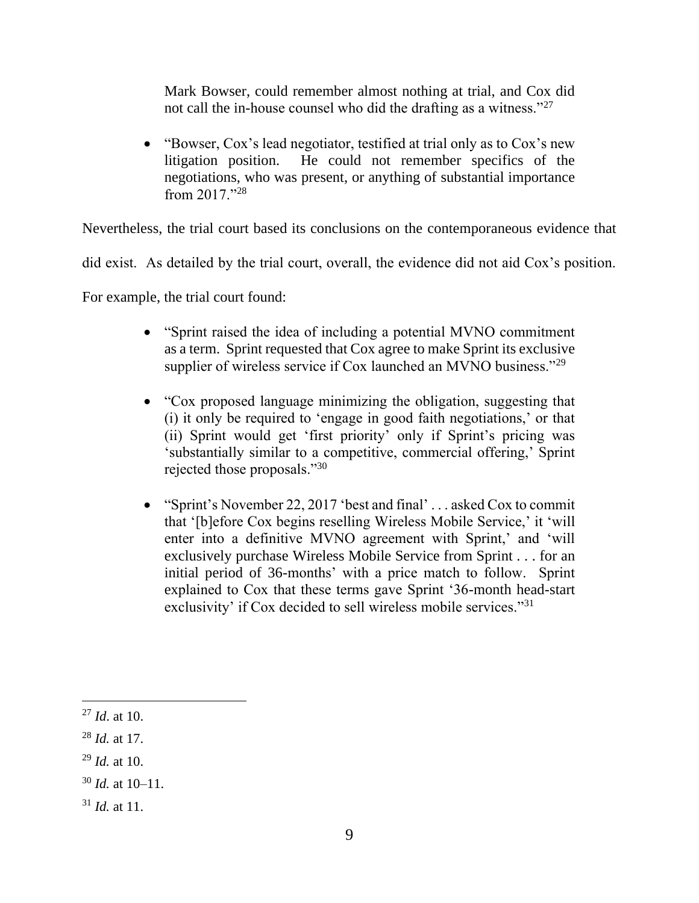Mark Bowser, could remember almost nothing at trial, and Cox did not call the in-house counsel who did the drafting as a witness."<sup>27</sup>

• "Bowser, Cox's lead negotiator, testified at trial only as to Cox's new litigation position. He could not remember specifics of the negotiations, who was present, or anything of substantial importance from 2017."<sup>28</sup>

Nevertheless, the trial court based its conclusions on the contemporaneous evidence that

did exist. As detailed by the trial court, overall, the evidence did not aid Cox's position.

For example, the trial court found:

- "Sprint raised the idea of including a potential MVNO commitment as a term. Sprint requested that Cox agree to make Sprint its exclusive supplier of wireless service if Cox launched an MVNO business."<sup>29</sup>
- "Cox proposed language minimizing the obligation, suggesting that (i) it only be required to 'engage in good faith negotiations,' or that (ii) Sprint would get 'first priority' only if Sprint's pricing was 'substantially similar to a competitive, commercial offering,' Sprint rejected those proposals."<sup>30</sup>
- "Sprint's November 22, 2017 'best and final' . . . asked Cox to commit that '[b]efore Cox begins reselling Wireless Mobile Service,' it 'will enter into a definitive MVNO agreement with Sprint,' and 'will exclusively purchase Wireless Mobile Service from Sprint . . . for an initial period of 36-months' with a price match to follow. Sprint explained to Cox that these terms gave Sprint '36-month head-start exclusivity' if Cox decided to sell wireless mobile services."<sup>31</sup>

<sup>27</sup> *Id*. at 10.

<sup>28</sup> *Id.* at 17.

<sup>29</sup> *Id.* at 10.

<sup>30</sup> *Id.* at 10–11.

 $31$  *Id.* at 11.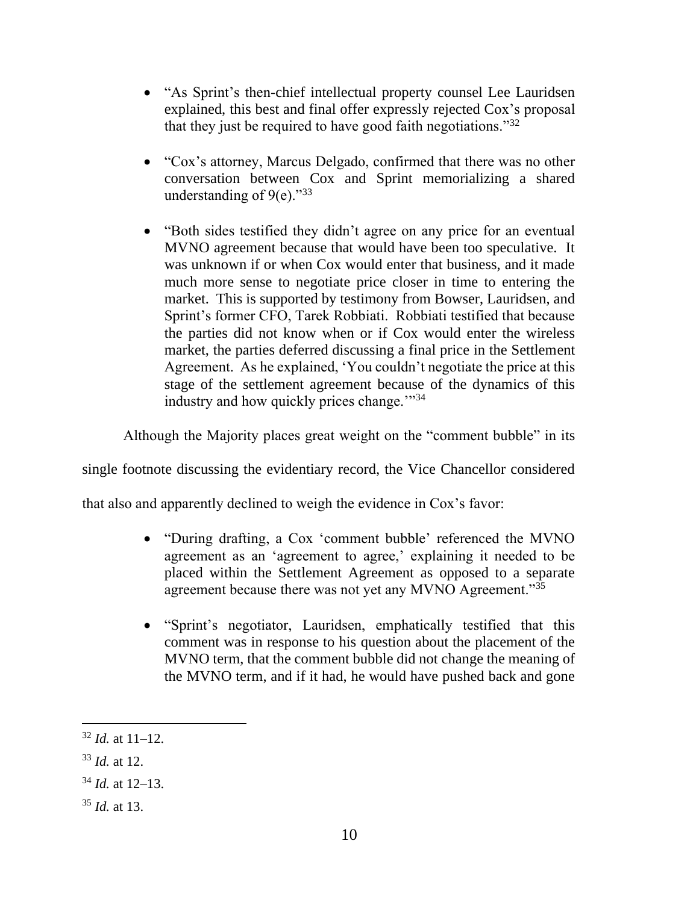- "As Sprint's then-chief intellectual property counsel Lee Lauridsen explained, this best and final offer expressly rejected Cox's proposal that they just be required to have good faith negotiations."<sup>32</sup>
- "Cox's attorney, Marcus Delgado, confirmed that there was no other conversation between Cox and Sprint memorializing a shared understanding of  $9(e)$ ."33
- "Both sides testified they didn't agree on any price for an eventual MVNO agreement because that would have been too speculative. It was unknown if or when Cox would enter that business, and it made much more sense to negotiate price closer in time to entering the market. This is supported by testimony from Bowser, Lauridsen, and Sprint's former CFO, Tarek Robbiati. Robbiati testified that because the parties did not know when or if Cox would enter the wireless market, the parties deferred discussing a final price in the Settlement Agreement. As he explained, 'You couldn't negotiate the price at this stage of the settlement agreement because of the dynamics of this industry and how quickly prices change."<sup>34</sup>

Although the Majority places great weight on the "comment bubble" in its

single footnote discussing the evidentiary record, the Vice Chancellor considered

that also and apparently declined to weigh the evidence in Cox's favor:

- "During drafting, a Cox 'comment bubble' referenced the MVNO agreement as an 'agreement to agree,' explaining it needed to be placed within the Settlement Agreement as opposed to a separate agreement because there was not yet any MVNO Agreement."<sup>35</sup>
- "Sprint's negotiator, Lauridsen, emphatically testified that this comment was in response to his question about the placement of the MVNO term, that the comment bubble did not change the meaning of the MVNO term, and if it had, he would have pushed back and gone

<sup>32</sup> *Id.* at 11–12.

<sup>33</sup> *Id.* at 12.

<sup>34</sup> *Id.* at 12–13.

<sup>35</sup> *Id.* at 13.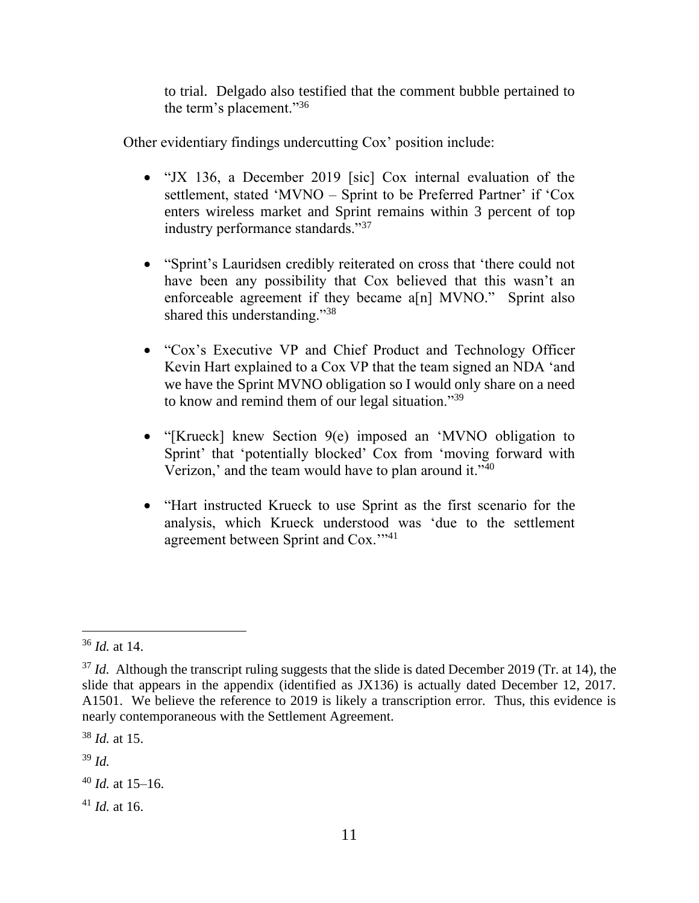to trial. Delgado also testified that the comment bubble pertained to the term's placement."<sup>36</sup>

Other evidentiary findings undercutting Cox' position include:

- "JX 136, a December 2019 [sic] Cox internal evaluation of the settlement, stated 'MVNO – Sprint to be Preferred Partner' if 'Cox enters wireless market and Sprint remains within 3 percent of top industry performance standards."<sup>37</sup>
- "Sprint's Lauridsen credibly reiterated on cross that 'there could not have been any possibility that Cox believed that this wasn't an enforceable agreement if they became a[n] MVNO." Sprint also shared this understanding."<sup>38</sup>
- "Cox's Executive VP and Chief Product and Technology Officer Kevin Hart explained to a Cox VP that the team signed an NDA 'and we have the Sprint MVNO obligation so I would only share on a need to know and remind them of our legal situation."<sup>39</sup>
- "[Krueck] knew Section 9(e) imposed an 'MVNO obligation to Sprint' that 'potentially blocked' Cox from 'moving forward with Verizon,' and the team would have to plan around it."<sup>40</sup>
- "Hart instructed Krueck to use Sprint as the first scenario for the analysis, which Krueck understood was 'due to the settlement agreement between Sprint and Cox.'"<sup>41</sup>

<sup>38</sup> *Id.* at 15.

<sup>39</sup> *Id.*

<sup>36</sup> *Id.* at 14.

<sup>&</sup>lt;sup>37</sup> *Id.* Although the transcript ruling suggests that the slide is dated December 2019 (Tr. at 14), the slide that appears in the appendix (identified as JX136) is actually dated December 12, 2017. A1501. We believe the reference to 2019 is likely a transcription error. Thus, this evidence is nearly contemporaneous with the Settlement Agreement.

 $40$  *Id.* at 15–16.

 $41$  *Id.* at 16.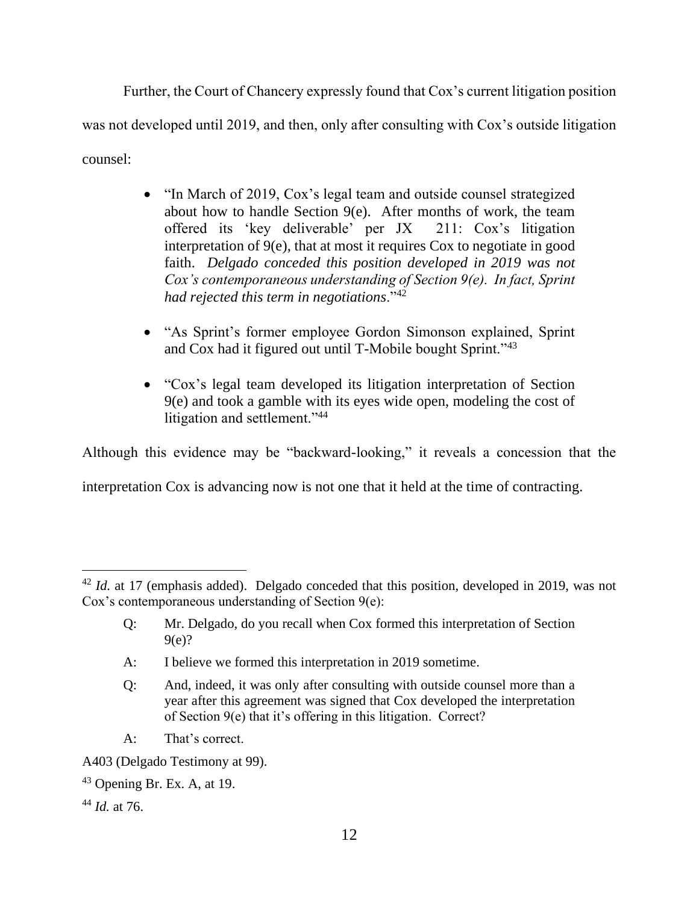Further, the Court of Chancery expressly found that Cox's current litigation position was not developed until 2019, and then, only after consulting with Cox's outside litigation counsel:

- "In March of 2019, Cox's legal team and outside counsel strategized about how to handle Section 9(e). After months of work, the team offered its 'key deliverable' per JX 211: Cox's litigation interpretation of 9(e), that at most it requires Cox to negotiate in good faith. *Delgado conceded this position developed in 2019 was not Cox's contemporaneous understanding of Section 9(e). In fact, Sprint had rejected this term in negotiations*."<sup>42</sup>
- "As Sprint's former employee Gordon Simonson explained, Sprint and Cox had it figured out until T-Mobile bought Sprint."<sup>43</sup>
- "Cox's legal team developed its litigation interpretation of Section 9(e) and took a gamble with its eyes wide open, modeling the cost of litigation and settlement."<sup>44</sup>

Although this evidence may be "backward-looking," it reveals a concession that the

interpretation Cox is advancing now is not one that it held at the time of contracting.

- A: I believe we formed this interpretation in 2019 sometime.
- Q: And, indeed, it was only after consulting with outside counsel more than a year after this agreement was signed that Cox developed the interpretation of Section 9(e) that it's offering in this litigation. Correct?
- A: That's correct.

A403 (Delgado Testimony at 99).

 $43$  Opening Br. Ex. A, at 19.

<sup>44</sup> *Id.* at 76.

<sup>&</sup>lt;sup>42</sup> *Id.* at 17 (emphasis added). Delgado conceded that this position, developed in 2019, was not Cox's contemporaneous understanding of Section 9(e):

Q: Mr. Delgado, do you recall when Cox formed this interpretation of Section 9(e)?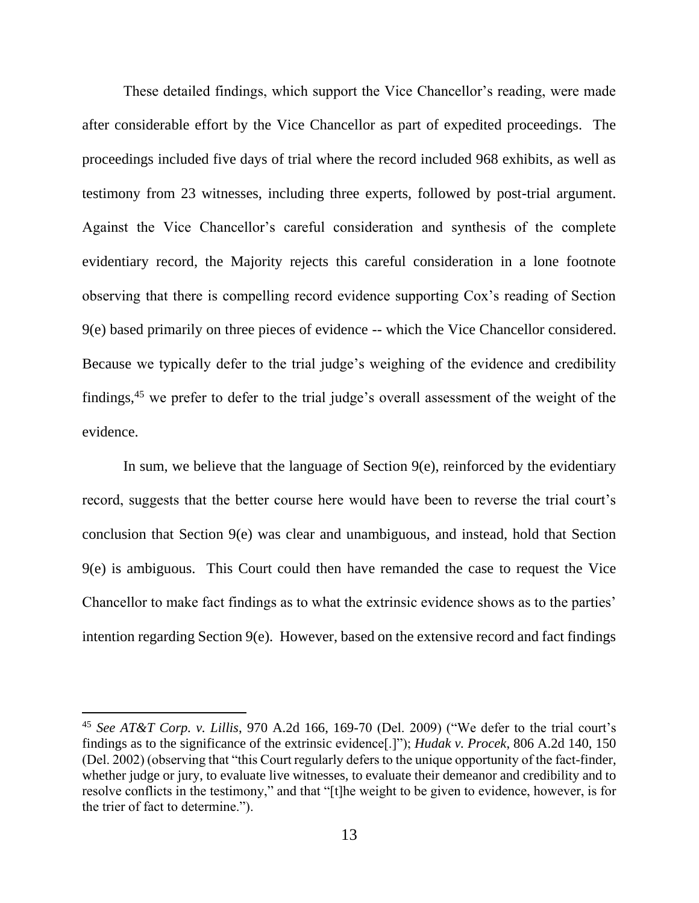These detailed findings, which support the Vice Chancellor's reading, were made after considerable effort by the Vice Chancellor as part of expedited proceedings. The proceedings included five days of trial where the record included 968 exhibits, as well as testimony from 23 witnesses, including three experts, followed by post-trial argument. Against the Vice Chancellor's careful consideration and synthesis of the complete evidentiary record, the Majority rejects this careful consideration in a lone footnote observing that there is compelling record evidence supporting Cox's reading of Section 9(e) based primarily on three pieces of evidence -- which the Vice Chancellor considered. Because we typically defer to the trial judge's weighing of the evidence and credibility findings,<sup>45</sup> we prefer to defer to the trial judge's overall assessment of the weight of the evidence.

In sum, we believe that the language of Section 9(e), reinforced by the evidentiary record, suggests that the better course here would have been to reverse the trial court's conclusion that Section 9(e) was clear and unambiguous, and instead, hold that Section 9(e) is ambiguous. This Court could then have remanded the case to request the Vice Chancellor to make fact findings as to what the extrinsic evidence shows as to the parties' intention regarding Section 9(e). However, based on the extensive record and fact findings

<sup>45</sup> *See AT&T Corp. v. Lillis*, 970 A.2d 166, 169-70 (Del. 2009) ("We defer to the trial court's findings as to the significance of the extrinsic evidence[.]"); *Hudak v. Procek*, 806 A.2d 140, 150 (Del. 2002) (observing that "this Court regularly defers to the unique opportunity of the fact-finder, whether judge or jury, to evaluate live witnesses, to evaluate their demeanor and credibility and to resolve conflicts in the testimony," and that "[t]he weight to be given to evidence, however, is for the trier of fact to determine.").